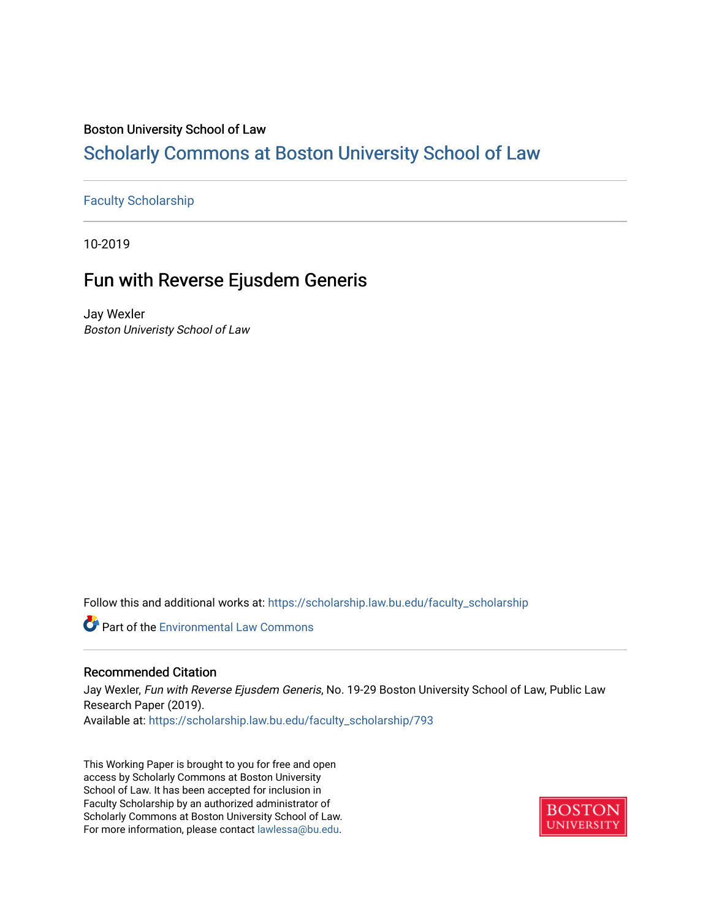# Boston University School of Law

# [Scholarly Commons at Boston University School of Law](https://scholarship.law.bu.edu/)

# [Faculty Scholarship](https://scholarship.law.bu.edu/faculty_scholarship)

10-2019

# Fun with Reverse Ejusdem Generis

Jay Wexler Boston Univeristy School of Law

Follow this and additional works at: [https://scholarship.law.bu.edu/faculty\\_scholarship](https://scholarship.law.bu.edu/faculty_scholarship?utm_source=scholarship.law.bu.edu%2Ffaculty_scholarship%2F793&utm_medium=PDF&utm_campaign=PDFCoverPages)

**C** Part of the [Environmental Law Commons](http://network.bepress.com/hgg/discipline/599?utm_source=scholarship.law.bu.edu%2Ffaculty_scholarship%2F793&utm_medium=PDF&utm_campaign=PDFCoverPages)

#### Recommended Citation

Jay Wexler, Fun with Reverse Ejusdem Generis, No. 19-29 Boston University School of Law, Public Law Research Paper (2019). Available at: [https://scholarship.law.bu.edu/faculty\\_scholarship/793](https://scholarship.law.bu.edu/faculty_scholarship/793?utm_source=scholarship.law.bu.edu%2Ffaculty_scholarship%2F793&utm_medium=PDF&utm_campaign=PDFCoverPages) 

This Working Paper is brought to you for free and open access by Scholarly Commons at Boston University School of Law. It has been accepted for inclusion in Faculty Scholarship by an authorized administrator of Scholarly Commons at Boston University School of Law. For more information, please contact [lawlessa@bu.edu](mailto:lawlessa@bu.edu).

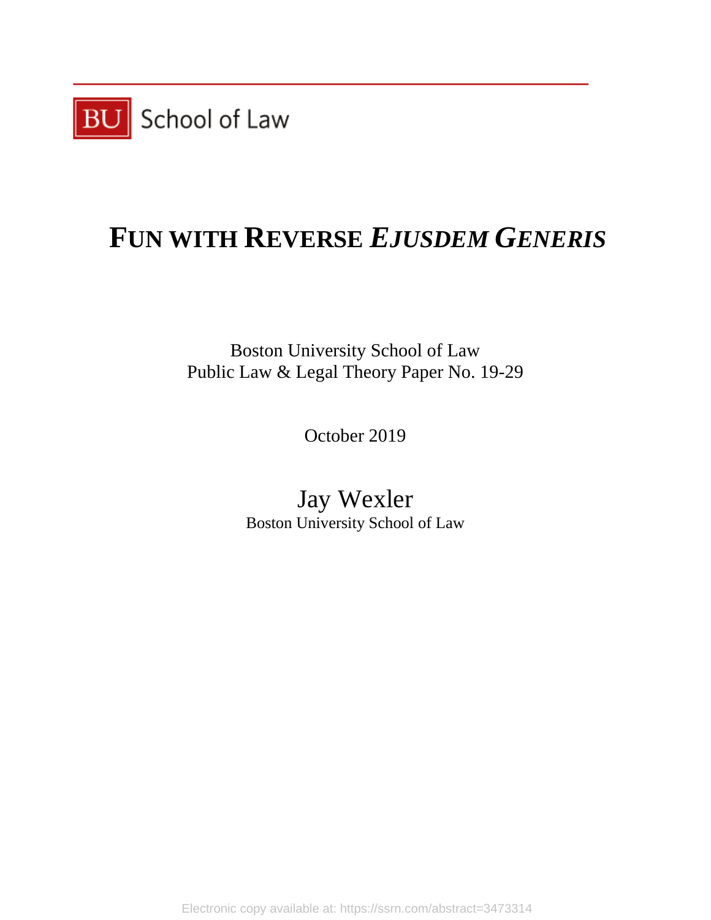

# **FUN WITH REVERSE** *EJUSDEM GENERIS*

Boston University School of Law Public Law & Legal Theory Paper No. 19-29

October 2019

Jay Wexler Boston University School of Law

Electronic copy available at: https://ssrn.com/abstract=3473314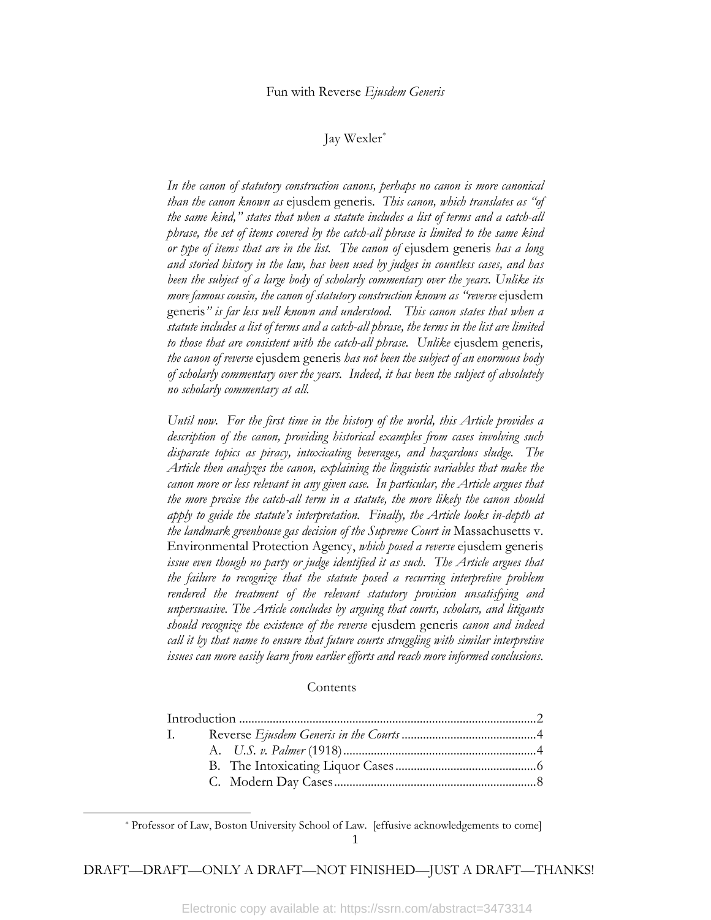## Jay Wexler[\\*](#page-2-0)

*In the canon of statutory construction canons, perhaps no canon is more canonical than the canon known as* ejusdem generis*. This canon, which translates as "of the same kind," states that when a statute includes a list of terms and a catch-all phrase, the set of items covered by the catch-all phrase is limited to the same kind or type of items that are in the list. The canon of* ejusdem generis *has a long and storied history in the law, has been used by judges in countless cases, and has*  been the subject of a large body of scholarly commentary over the years. Unlike its *more famous cousin, the canon of statutory construction known as "reverse* ejusdem generis*" is far less well known and understood. This canon states that when a statute includes a list of terms and a catch-all phrase, the terms in the list are limited to those that are consistent with the catch-all phrase. Unlike* ejusdem generis*, the canon of reverse* ejusdem generis *has not been the subject of an enormous body of scholarly commentary over the years. Indeed, it has been the subject of absolutely no scholarly commentary at all.* 

*Until now. For the first time in the history of the world, this Article provides a description of the canon, providing historical examples from cases involving such disparate topics as piracy, intoxicating beverages, and hazardous sludge. The Article then analyzes the canon, explaining the linguistic variables that make the canon more or less relevant in any given case. In particular, the Article argues that the more precise the catch-all term in a statute, the more likely the canon should apply to guide the statute's interpretation. Finally, the Article looks in-depth at the landmark greenhouse gas decision of the Supreme Court in* Massachusetts v. Environmental Protection Agency, *which posed a reverse* ejusdem generis *issue even though no party or judge identified it as such. The Article argues that the failure to recognize that the statute posed a recurring interpretive problem rendered the treatment of the relevant statutory provision unsatisfying and unpersuasive. The Article concludes by arguing that courts, scholars, and litigants should recognize the existence of the reverse* ejusdem generis *canon and indeed call it by that name to ensure that future courts struggling with similar interpretive issues can more easily learn from earlier efforts and reach more informed conclusions.*

#### **Contents**

| $\mathbf{L}$ |  |
|--------------|--|
|              |  |
|              |  |
|              |  |

<span id="page-2-0"></span>l

<sup>1</sup> \* Professor of Law, Boston University School of Law. [effusive acknowledgements to come]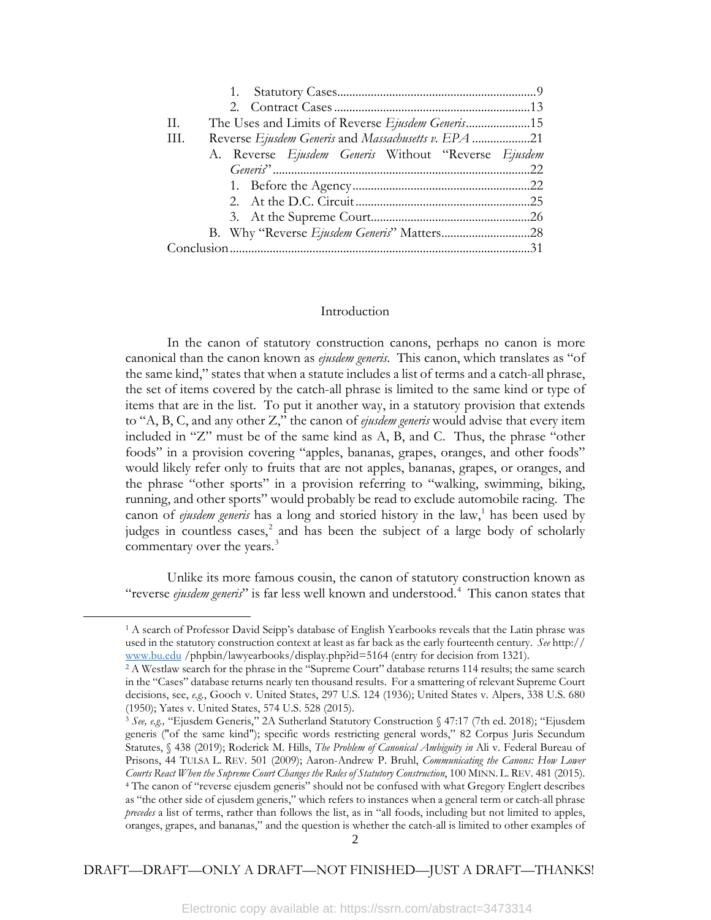| The Uses and Limits of Reverse Ejusdem Generis15<br>H. |  |
|--------------------------------------------------------|--|
| Reverse Ejusdem Generis and Massachusetts v. EPA 21    |  |
| A. Reverse Ejusdem Generis Without "Reverse Ejusdem    |  |
|                                                        |  |
|                                                        |  |
|                                                        |  |
|                                                        |  |
|                                                        |  |
|                                                        |  |

#### Introduction

In the canon of statutory construction canons, perhaps no canon is more canonical than the canon known as *ejusdem generis*. This canon, which translates as "of the same kind," states that when a statute includes a list of terms and a catch-all phrase, the set of items covered by the catch-all phrase is limited to the same kind or type of items that are in the list. To put it another way, in a statutory provision that extends to "A, B, C, and any other Z," the canon of *ejusdem generis* would advise that every item included in "Z" must be of the same kind as A, B, and C. Thus, the phrase "other foods" in a provision covering "apples, bananas, grapes, oranges, and other foods" would likely refer only to fruits that are not apples, bananas, grapes, or oranges, and the phrase "other sports" in a provision referring to "walking, swimming, biking, running, and other sports" would probably be read to exclude automobile racing. The canon of *ejusdem generis* has a long and storied history in the law,<sup>[1](#page-3-0)</sup> has been used by judges in countless cases,<sup>[2](#page-3-1)</sup> and has been the subject of a large body of scholarly commentary over the years.<sup>[3](#page-3-2)</sup>

Unlike its more famous cousin, the canon of statutory construction known as "reverse ejusdem generis" is far less well known and understood.<sup>[4](#page-3-3)</sup> This canon states that

<span id="page-3-1"></span><span id="page-3-0"></span>l

<sup>1</sup> A search of Professor David Seipp's database of English Yearbooks reveals that the Latin phrase was used in the statutory construction context at least as far back as the early fourteenth century. *See* http:// [www.bu.edu](http://www.bu.edu/) /phpbin/lawyearbooks/display.php?id=5164 (entry for decision from 1321).

<sup>2</sup> A Westlaw search for the phrase in the "Supreme Court" database returns 114 results; the same search in the "Cases" database returns nearly ten thousand results. For a smattering of relevant Supreme Court decisions, see, *e.g.*, Gooch v. United States, 297 U.S. 124 (1936); United States v. Alpers, 338 U.S. 680 (1950); Yates v. United States, 574 U.S. 528 (2015).

<span id="page-3-3"></span><span id="page-3-2"></span><sup>3</sup> *See, e.g.,* "Ejusdem Generis," 2A Sutherland Statutory Construction § 47:17 (7th ed. 2018); "Ejusdem generis ("of the same kind"); specific words restricting general words," 82 Corpus Juris Secundum Statutes, § 438 (2019); Roderick M. Hills, *The Problem of Canonical Ambiguity in* Ali v. Federal Bureau of Prisons, 44 TULSA L. REV. 501 (2009); Aaron-Andrew P. Bruhl, *Communicating the Canons: How Lower Courts React When the Supreme Court Changes the Rules of Statutory Construction*, 100 MINN. L. REV. 481 (2015). <sup>4</sup> The canon of "reverse ejusdem generis" should not be confused with what Gregory Englert describes as "the other side of ejusdem generis," which refers to instances when a general term or catch-all phrase *precedes* a list of terms, rather than follows the list, as in "all foods, including but not limited to apples, oranges, grapes, and bananas," and the question is whether the catch-all is limited to other examples of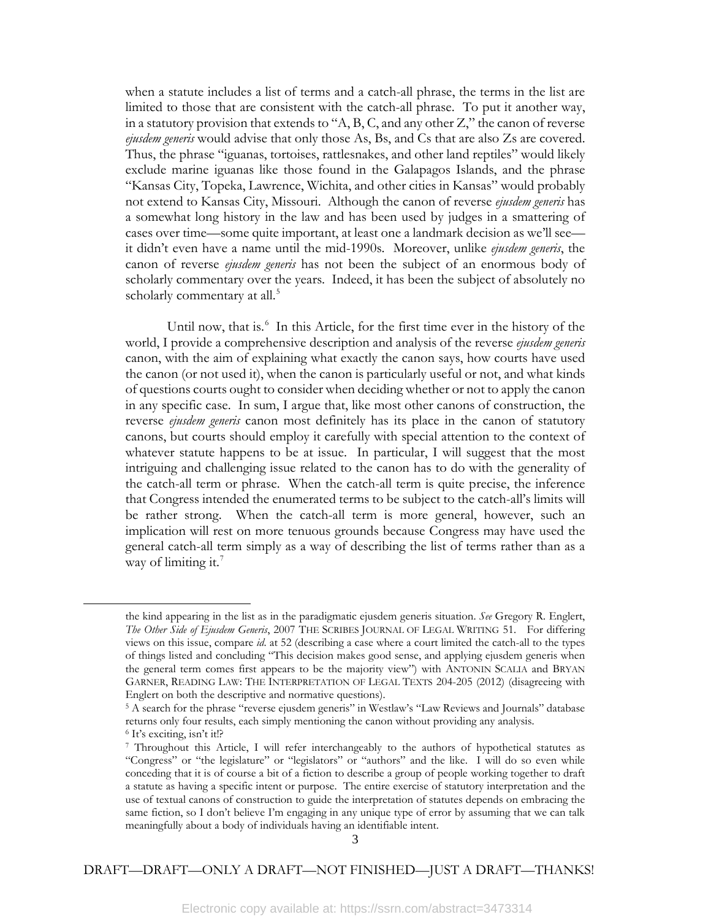when a statute includes a list of terms and a catch-all phrase, the terms in the list are limited to those that are consistent with the catch-all phrase. To put it another way, in a statutory provision that extends to "A, B, C, and any other  $Z$ ," the canon of reverse *ejusdem generis* would advise that only those As, Bs, and Cs that are also Zs are covered. Thus, the phrase "iguanas, tortoises, rattlesnakes, and other land reptiles" would likely exclude marine iguanas like those found in the Galapagos Islands, and the phrase "Kansas City, Topeka, Lawrence, Wichita, and other cities in Kansas" would probably not extend to Kansas City, Missouri. Although the canon of reverse *ejusdem generis* has a somewhat long history in the law and has been used by judges in a smattering of cases over time—some quite important, at least one a landmark decision as we'll see it didn't even have a name until the mid-1990s. Moreover, unlike *ejusdem generis*, the canon of reverse *ejusdem generis* has not been the subject of an enormous body of scholarly commentary over the years. Indeed, it has been the subject of absolutely no scholarly commentary at all.<sup>[5](#page-4-0)</sup>

Until now, that is.<sup>[6](#page-4-1)</sup> In this Article, for the first time ever in the history of the world, I provide a comprehensive description and analysis of the reverse *ejusdem generis* canon, with the aim of explaining what exactly the canon says, how courts have used the canon (or not used it), when the canon is particularly useful or not, and what kinds of questions courts ought to consider when deciding whether or not to apply the canon in any specific case. In sum, I argue that, like most other canons of construction, the reverse *ejusdem generis* canon most definitely has its place in the canon of statutory canons, but courts should employ it carefully with special attention to the context of whatever statute happens to be at issue. In particular, I will suggest that the most intriguing and challenging issue related to the canon has to do with the generality of the catch-all term or phrase. When the catch-all term is quite precise, the inference that Congress intended the enumerated terms to be subject to the catch-all's limits will be rather strong. When the catch-all term is more general, however, such an implication will rest on more tenuous grounds because Congress may have used the general catch-all term simply as a way of describing the list of terms rather than as a way of limiting it.<sup>7</sup>

l

the kind appearing in the list as in the paradigmatic ejusdem generis situation. *See* Gregory R. Englert, *The Other Side of Ejusdem Generis*, 2007 THE SCRIBES JOURNAL OF LEGAL WRITING 51. For differing views on this issue, compare *id*. at 52 (describing a case where a court limited the catch-all to the types of things listed and concluding "This decision makes good sense, and applying ejusdem generis when the general term comes first appears to be the majority view") with ANTONIN SCALIA and BRYAN GARNER, READING LAW: THE INTERPRETATION OF LEGAL TEXTS 204-205 (2012) (disagreeing with Englert on both the descriptive and normative questions).

<span id="page-4-0"></span><sup>5</sup> A search for the phrase "reverse ejusdem generis" in Westlaw's "Law Reviews and Journals" database returns only four results, each simply mentioning the canon without providing any analysis.

<span id="page-4-1"></span><sup>6</sup> It's exciting, isn't it!?

<span id="page-4-2"></span><sup>7</sup> Throughout this Article, I will refer interchangeably to the authors of hypothetical statutes as "Congress" or "the legislature" or "legislators" or "authors" and the like. I will do so even while conceding that it is of course a bit of a fiction to describe a group of people working together to draft a statute as having a specific intent or purpose. The entire exercise of statutory interpretation and the use of textual canons of construction to guide the interpretation of statutes depends on embracing the same fiction, so I don't believe I'm engaging in any unique type of error by assuming that we can talk meaningfully about a body of individuals having an identifiable intent.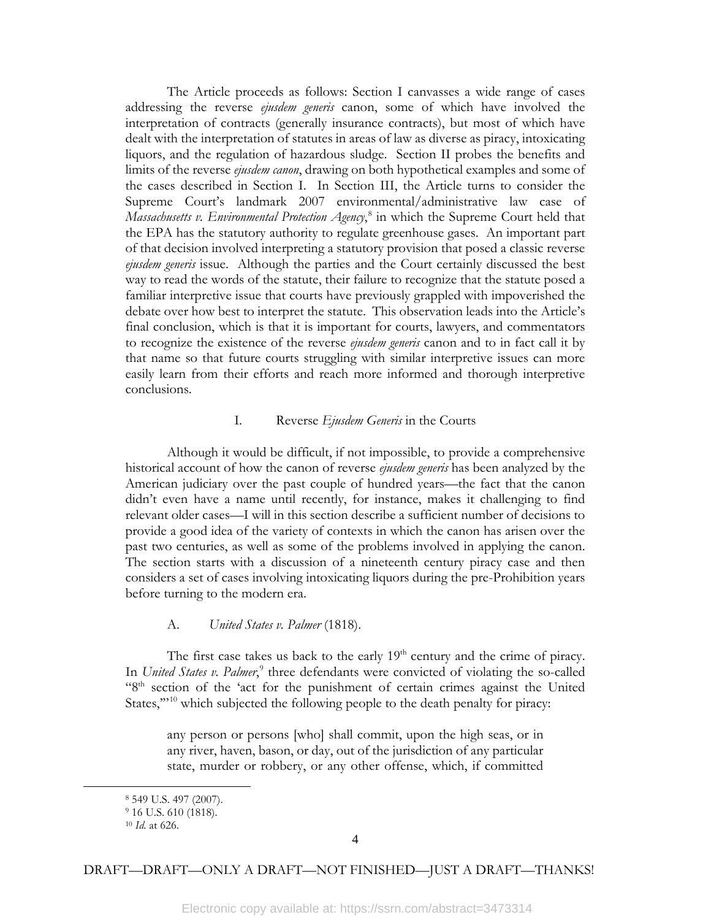The Article proceeds as follows: Section I canvasses a wide range of cases addressing the reverse *ejusdem generis* canon, some of which have involved the interpretation of contracts (generally insurance contracts), but most of which have dealt with the interpretation of statutes in areas of law as diverse as piracy, intoxicating liquors, and the regulation of hazardous sludge. Section II probes the benefits and limits of the reverse *ejusdem canon*, drawing on both hypothetical examples and some of the cases described in Section I. In Section III, the Article turns to consider the Supreme Court's landmark 2007 environmental/administrative law case of *Massachusetts v. Environmental Protection Agency*, [8](#page-5-0) in which the Supreme Court held that the EPA has the statutory authority to regulate greenhouse gases. An important part of that decision involved interpreting a statutory provision that posed a classic reverse *ejusdem generis* issue. Although the parties and the Court certainly discussed the best way to read the words of the statute, their failure to recognize that the statute posed a familiar interpretive issue that courts have previously grappled with impoverished the debate over how best to interpret the statute. This observation leads into the Article's final conclusion, which is that it is important for courts, lawyers, and commentators to recognize the existence of the reverse *ejusdem generis* canon and to in fact call it by that name so that future courts struggling with similar interpretive issues can more easily learn from their efforts and reach more informed and thorough interpretive conclusions.

# I. Reverse *Ejusdem Generis* in the Courts

Although it would be difficult, if not impossible, to provide a comprehensive historical account of how the canon of reverse *ejusdem generis* has been analyzed by the American judiciary over the past couple of hundred years—the fact that the canon didn't even have a name until recently, for instance, makes it challenging to find relevant older cases—I will in this section describe a sufficient number of decisions to provide a good idea of the variety of contexts in which the canon has arisen over the past two centuries, as well as some of the problems involved in applying the canon. The section starts with a discussion of a nineteenth century piracy case and then considers a set of cases involving intoxicating liquors during the pre-Prohibition years before turning to the modern era.

# A. *United States v. Palmer* (1818).

The first case takes us back to the early  $19<sup>th</sup>$  century and the crime of piracy. In *United States v. Palmer*,<sup>[9](#page-5-1)</sup> three defendants were convicted of violating the so-called "8<sup>th</sup> section of the 'act for the punishment of certain crimes against the United States,"<sup>[10](#page-5-2)</sup> which subjected the following people to the death penalty for piracy:

any person or persons [who] shall commit, upon the high seas, or in any river, haven, bason, or day, out of the jurisdiction of any particular state, murder or robbery, or any other offense, which, if committed

<span id="page-5-2"></span><span id="page-5-1"></span><span id="page-5-0"></span>l

<sup>8</sup> 549 U.S. 497 (2007).

<sup>9</sup> 16 U.S. 610 (1818).

<sup>10</sup> *Id.* at 626.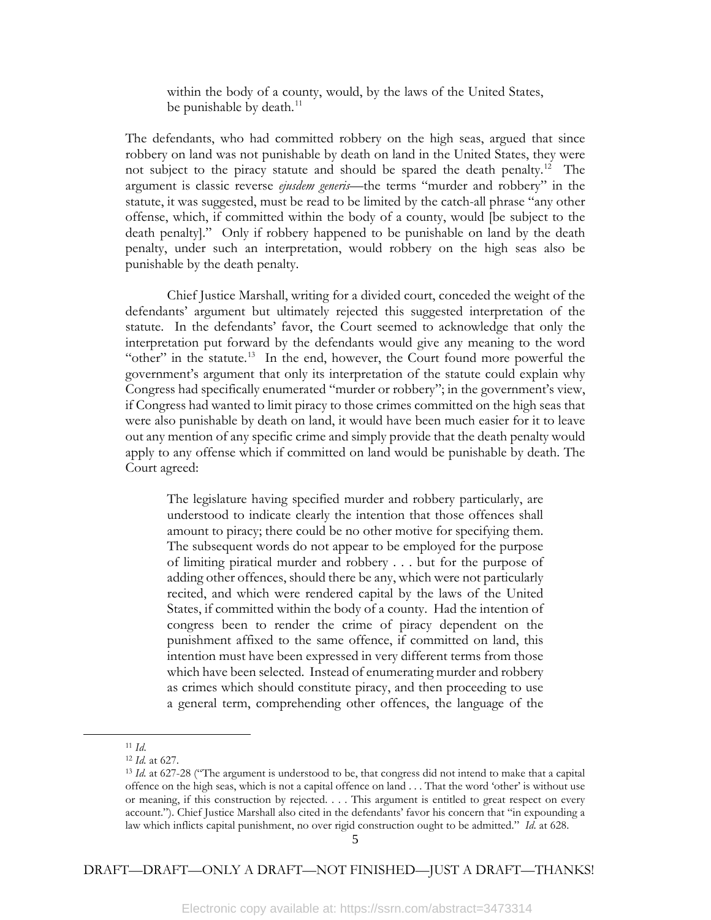within the body of a county, would, by the laws of the United States, be punishable by death.<sup>11</sup>

The defendants, who had committed robbery on the high seas, argued that since robbery on land was not punishable by death on land in the United States, they were not subject to the piracy statute and should be spared the death penalty.<sup>[12](#page-6-1)</sup> The argument is classic reverse *ejusdem generis*—the terms "murder and robbery" in the statute, it was suggested, must be read to be limited by the catch-all phrase "any other offense, which, if committed within the body of a county, would [be subject to the death penalty]." Only if robbery happened to be punishable on land by the death penalty, under such an interpretation, would robbery on the high seas also be punishable by the death penalty.

Chief Justice Marshall, writing for a divided court, conceded the weight of the defendants' argument but ultimately rejected this suggested interpretation of the statute. In the defendants' favor, the Court seemed to acknowledge that only the interpretation put forward by the defendants would give any meaning to the word "other" in the statute.<sup>13</sup> In the end, however, the Court found more powerful the government's argument that only its interpretation of the statute could explain why Congress had specifically enumerated "murder or robbery"; in the government's view, if Congress had wanted to limit piracy to those crimes committed on the high seas that were also punishable by death on land, it would have been much easier for it to leave out any mention of any specific crime and simply provide that the death penalty would apply to any offense which if committed on land would be punishable by death. The Court agreed:

The legislature having specified murder and robbery particularly, are understood to indicate clearly the intention that those offences shall amount to piracy; there could be no other motive for specifying them. The subsequent words do not appear to be employed for the purpose of limiting piratical murder and robbery . . . but for the purpose of adding other offences, should there be any, which were not particularly recited, and which were rendered capital by the laws of the United States, if committed within the body of a county. Had the intention of congress been to render the crime of piracy dependent on the punishment affixed to the same offence, if committed on land, this intention must have been expressed in very different terms from those which have been selected. Instead of enumerating murder and robbery as crimes which should constitute piracy, and then proceeding to use a general term, comprehending other offences, the language of the

<sup>11</sup> *Id*.

<span id="page-6-2"></span><span id="page-6-1"></span><span id="page-6-0"></span>l

<sup>12</sup> *Id.* at 627.

<sup>13</sup> *Id.* at 627-28 ("The argument is understood to be, that congress did not intend to make that a capital offence on the high seas, which is not a capital offence on land . . . That the word 'other' is without use or meaning, if this construction by rejected. . . . This argument is entitled to great respect on every account."). Chief Justice Marshall also cited in the defendants' favor his concern that "in expounding a law which inflicts capital punishment, no over rigid construction ought to be admitted." *Id*. at 628.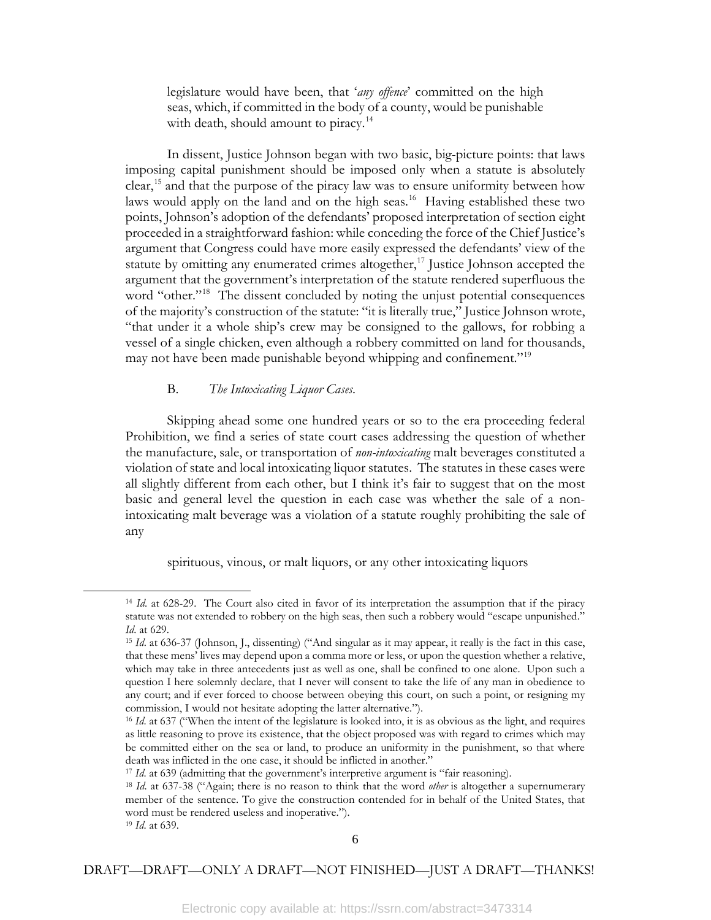legislature would have been, that '*any offence*' committed on the high seas, which, if committed in the body of a county, would be punishable with death, should amount to piracy.<sup>[14](#page-7-0)</sup>

In dissent, Justice Johnson began with two basic, big-picture points: that laws imposing capital punishment should be imposed only when a statute is absolutely clear,<sup>[15](#page-7-1)</sup> and that the purpose of the piracy law was to ensure uniformity between how laws would apply on the land and on the high seas.<sup>16</sup> Having established these two points, Johnson's adoption of the defendants' proposed interpretation of section eight proceeded in a straightforward fashion: while conceding the force of the Chief Justice's argument that Congress could have more easily expressed the defendants' view of the statute by omitting any enumerated crimes altogether, $17$  Justice Johnson accepted the argument that the government's interpretation of the statute rendered superfluous the word "other."<sup>18</sup> The dissent concluded by noting the unjust potential consequences of the majority's construction of the statute: "it is literally true," Justice Johnson wrote, "that under it a whole ship's crew may be consigned to the gallows, for robbing a vessel of a single chicken, even although a robbery committed on land for thousands, may not have been made punishable beyond whipping and confinement."<sup>[19](#page-7-5)</sup>

## B. *The Intoxicating Liquor Cases*.

Skipping ahead some one hundred years or so to the era proceeding federal Prohibition, we find a series of state court cases addressing the question of whether the manufacture, sale, or transportation of *non-intoxicating* malt beverages constituted a violation of state and local intoxicating liquor statutes. The statutes in these cases were all slightly different from each other, but I think it's fair to suggest that on the most basic and general level the question in each case was whether the sale of a nonintoxicating malt beverage was a violation of a statute roughly prohibiting the sale of any

spirituous, vinous, or malt liquors, or any other intoxicating liquors

<span id="page-7-1"></span><span id="page-7-0"></span>l

<sup>14</sup> *Id*. at 628-29. The Court also cited in favor of its interpretation the assumption that if the piracy statute was not extended to robbery on the high seas, then such a robbery would "escape unpunished." *Id*. at 629.

<sup>15</sup> *Id*. at 636-37 (Johnson, J., dissenting) ("And singular as it may appear, it really is the fact in this case, that these mens' lives may depend upon a comma more or less, or upon the question whether a relative, which may take in three antecedents just as well as one, shall be confined to one alone. Upon such a question I here solemnly declare, that I never will consent to take the life of any man in obedience to any court; and if ever forced to choose between obeying this court, on such a point, or resigning my commission, I would not hesitate adopting the latter alternative.").

<span id="page-7-2"></span><sup>16</sup> *Id*. at 637 ("When the intent of the legislature is looked into, it is as obvious as the light, and requires as little reasoning to prove its existence, that the object proposed was with regard to crimes which may be committed either on the sea or land, to produce an uniformity in the punishment, so that where death was inflicted in the one case, it should be inflicted in another."

<span id="page-7-3"></span><sup>&</sup>lt;sup>17</sup> *Id.* at 639 (admitting that the government's interpretive argument is "fair reasoning).

<span id="page-7-4"></span><sup>18</sup> *Id*. at 637-38 ("Again; there is no reason to think that the word *other* is altogether a supernumerary member of the sentence. To give the construction contended for in behalf of the United States, that word must be rendered useless and inoperative.").

<span id="page-7-5"></span><sup>19</sup> *Id*. at 639.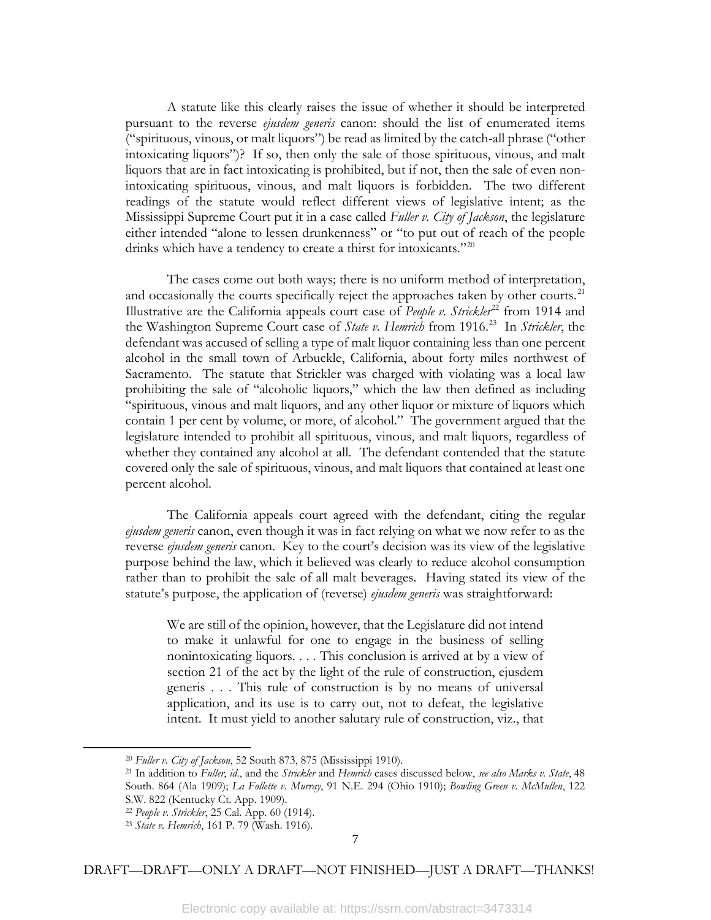A statute like this clearly raises the issue of whether it should be interpreted pursuant to the reverse *ejusdem generis* canon: should the list of enumerated items ("spirituous, vinous, or malt liquors") be read as limited by the catch-all phrase ("other intoxicating liquors")? If so, then only the sale of those spirituous, vinous, and malt liquors that are in fact intoxicating is prohibited, but if not, then the sale of even nonintoxicating spirituous, vinous, and malt liquors is forbidden. The two different readings of the statute would reflect different views of legislative intent; as the Mississippi Supreme Court put it in a case called *Fuller v. City of Jackson*, the legislature either intended "alone to lessen drunkenness" or "to put out of reach of the people drinks which have a tendency to create a thirst for intoxicants."<sup>[20](#page-8-0)</sup>

The cases come out both ways; there is no uniform method of interpretation, and occasionally the courts specifically reject the approaches taken by other courts.<sup>[21](#page-8-1)</sup> Illustrative are the California appeals court case of *People v. Strickler*<sup>[22](#page-8-2)</sup> from 1914 and the Washington Supreme Court case of *State v. Hemrich* from 1916.[23](#page-8-3) In *Strickler*, the defendant was accused of selling a type of malt liquor containing less than one percent alcohol in the small town of Arbuckle, California, about forty miles northwest of Sacramento. The statute that Strickler was charged with violating was a local law prohibiting the sale of "alcoholic liquors," which the law then defined as including "spirituous, vinous and malt liquors, and any other liquor or mixture of liquors which contain 1 per cent by volume, or more, of alcohol." The government argued that the legislature intended to prohibit all spirituous, vinous, and malt liquors, regardless of whether they contained any alcohol at all. The defendant contended that the statute covered only the sale of spirituous, vinous, and malt liquors that contained at least one percent alcohol.

The California appeals court agreed with the defendant, citing the regular *ejusdem generis* canon, even though it was in fact relying on what we now refer to as the reverse *ejusdem generis* canon. Key to the court's decision was its view of the legislative purpose behind the law, which it believed was clearly to reduce alcohol consumption rather than to prohibit the sale of all malt beverages. Having stated its view of the statute's purpose, the application of (reverse) *ejusdem generis* was straightforward:

We are still of the opinion, however, that the Legislature did not intend to make it unlawful for one to engage in the business of selling nonintoxicating liquors. . . . This conclusion is arrived at by a view of section 21 of the act by the light of the rule of construction, ejusdem generis . . . This rule of construction is by no means of universal application, and its use is to carry out, not to defeat, the legislative intent. It must yield to another salutary rule of construction, viz., that

<span id="page-8-3"></span><span id="page-8-2"></span><span id="page-8-1"></span><span id="page-8-0"></span>l

<sup>20</sup> *Fuller v. City of Jackson*, 52 South 873, 875 (Mississippi 1910).

<sup>21</sup> In addition to *Fuller*, *id*., and the *Strickler* and *Hemrich* cases discussed below, *see also Marks v. State*, 48 South. 864 (Ala 1909); *La Follette v. Murray*, 91 N.E. 294 (Ohio 1910); *Bowling Green v. McMullen*, 122 S.W. 822 (Kentucky Ct. App. 1909).

<sup>22</sup> *People v. Strickler*, 25 Cal. App. 60 (1914).

<sup>23</sup> *State v. Hemrich*, 161 P. 79 (Wash. 1916).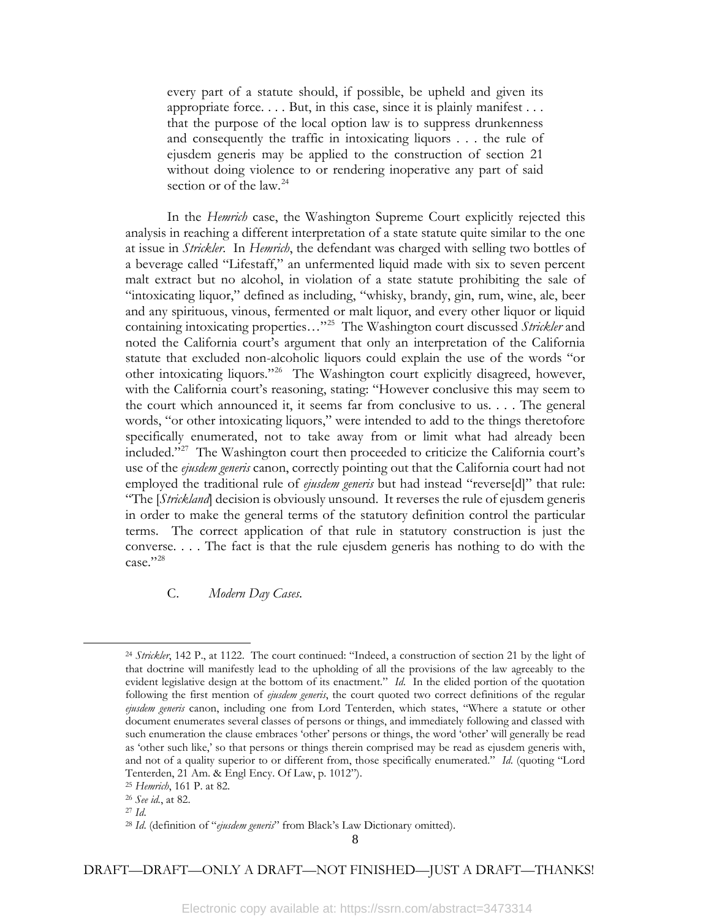every part of a statute should, if possible, be upheld and given its appropriate force. . . . But, in this case, since it is plainly manifest . . . that the purpose of the local option law is to suppress drunkenness and consequently the traffic in intoxicating liquors . . . the rule of ejusdem generis may be applied to the construction of section 21 without doing violence to or rendering inoperative any part of said section or of the law.<sup>[24](#page-9-0)</sup>

In the *Hemrich* case, the Washington Supreme Court explicitly rejected this analysis in reaching a different interpretation of a state statute quite similar to the one at issue in *Strickler*. In *Hemrich*, the defendant was charged with selling two bottles of a beverage called "Lifestaff," an unfermented liquid made with six to seven percent malt extract but no alcohol, in violation of a state statute prohibiting the sale of "intoxicating liquor," defined as including, "whisky, brandy, gin, rum, wine, ale, beer and any spirituous, vinous, fermented or malt liquor, and every other liquor or liquid containing intoxicating properties…"[25](#page-9-1) The Washington court discussed *Strickler* and noted the California court's argument that only an interpretation of the California statute that excluded non-alcoholic liquors could explain the use of the words "or other intoxicating liquors."[26](#page-9-2) The Washington court explicitly disagreed, however, with the California court's reasoning, stating: "However conclusive this may seem to the court which announced it, it seems far from conclusive to us. . . . The general words, "or other intoxicating liquors," were intended to add to the things theretofore specifically enumerated, not to take away from or limit what had already been included."[27](#page-9-3) The Washington court then proceeded to criticize the California court's use of the *ejusdem generis* canon, correctly pointing out that the California court had not employed the traditional rule of *ejusdem generis* but had instead "reverse[d]" that rule: "The [*Strickland*] decision is obviously unsound. It reverses the rule of ejusdem generis in order to make the general terms of the statutory definition control the particular terms. The correct application of that rule in statutory construction is just the converse. . . . The fact is that the rule ejusdem generis has nothing to do with the case."[28](#page-9-4)

# C. *Modern Day Cases*.

<span id="page-9-0"></span>l

<sup>24</sup> *Strickler*, 142 P., at 1122. The court continued: "Indeed, a construction of section 21 by the light of that doctrine will manifestly lead to the upholding of all the provisions of the law agreeably to the evident legislative design at the bottom of its enactment." *Id*. In the elided portion of the quotation following the first mention of *ejusdem generis*, the court quoted two correct definitions of the regular *ejusdem generis* canon, including one from Lord Tenterden, which states, "Where a statute or other document enumerates several classes of persons or things, and immediately following and classed with such enumeration the clause embraces 'other' persons or things, the word 'other' will generally be read as 'other such like,' so that persons or things therein comprised may be read as ejusdem generis with, and not of a quality superior to or different from, those specifically enumerated." *Id*. (quoting "Lord Tenterden, 21 Am. & Engl Ency. Of Law, p. 1012").

<span id="page-9-1"></span><sup>25</sup> *Hemrich*, 161 P. at 82. 26 *See id.*, at 82.

<span id="page-9-2"></span>

<span id="page-9-4"></span><span id="page-9-3"></span><sup>27</sup> *Id*.

<sup>28</sup> *Id*. (definition of "*ejusdem generis*" from Black's Law Dictionary omitted).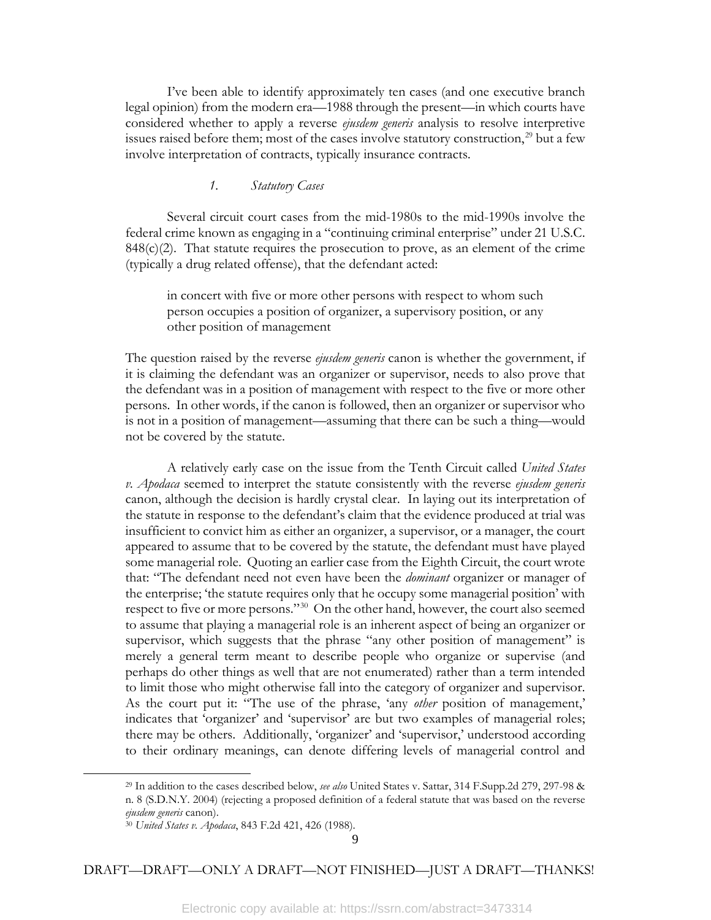I've been able to identify approximately ten cases (and one executive branch legal opinion) from the modern era—1988 through the present—in which courts have considered whether to apply a reverse *ejusdem generis* analysis to resolve interpretive issues raised before them; most of the cases involve statutory construction,<sup>[29](#page-10-0)</sup> but a few involve interpretation of contracts, typically insurance contracts.

# *1. Statutory Cases*

Several circuit court cases from the mid-1980s to the mid-1990s involve the federal crime known as engaging in a "continuing criminal enterprise" under 21 U.S.C.  $848(c)(2)$ . That statute requires the prosecution to prove, as an element of the crime (typically a drug related offense), that the defendant acted:

in concert with five or more other persons with respect to whom such person occupies a position of organizer, a supervisory position, or any other position of management

The question raised by the reverse *ejusdem generis* canon is whether the government, if it is claiming the defendant was an organizer or supervisor, needs to also prove that the defendant was in a position of management with respect to the five or more other persons. In other words, if the canon is followed, then an organizer or supervisor who is not in a position of management—assuming that there can be such a thing—would not be covered by the statute.

A relatively early case on the issue from the Tenth Circuit called *United States v. Apodaca* seemed to interpret the statute consistently with the reverse *ejusdem generis* canon, although the decision is hardly crystal clear. In laying out its interpretation of the statute in response to the defendant's claim that the evidence produced at trial was insufficient to convict him as either an organizer, a supervisor, or a manager, the court appeared to assume that to be covered by the statute, the defendant must have played some managerial role. Quoting an earlier case from the Eighth Circuit, the court wrote that: "The defendant need not even have been the *dominant* organizer or manager of the enterprise; 'the statute requires only that he occupy some managerial position' with respect to five or more persons."[30](#page-10-1) On the other hand, however, the court also seemed to assume that playing a managerial role is an inherent aspect of being an organizer or supervisor, which suggests that the phrase "any other position of management" is merely a general term meant to describe people who organize or supervise (and perhaps do other things as well that are not enumerated) rather than a term intended to limit those who might otherwise fall into the category of organizer and supervisor. As the court put it: "The use of the phrase, 'any *other* position of management,' indicates that 'organizer' and 'supervisor' are but two examples of managerial roles; there may be others. Additionally, 'organizer' and 'supervisor,' understood according to their ordinary meanings, can denote differing levels of managerial control and

<span id="page-10-1"></span><span id="page-10-0"></span>l

<sup>29</sup> In addition to the cases described below, *see also* United States v. Sattar, 314 F.Supp.2d 279, 297-98 & n. 8 (S.D.N.Y. 2004) (rejecting a proposed definition of a federal statute that was based on the reverse *ejusdem generis* canon).

<sup>30</sup> *United States v. Apodaca*, 843 F.2d 421, 426 (1988).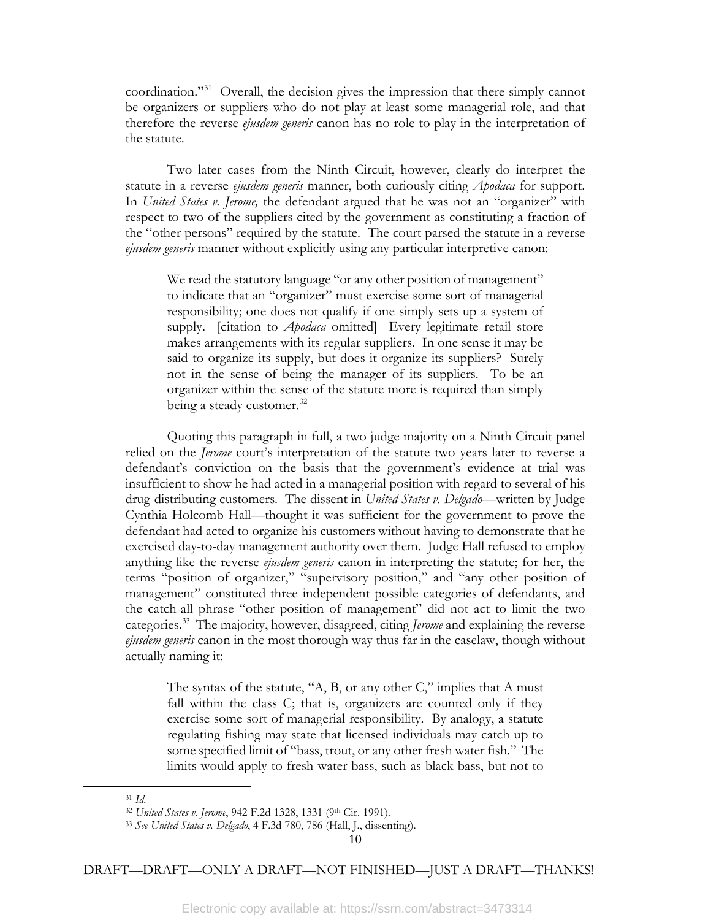coordination."[31](#page-11-0) Overall, the decision gives the impression that there simply cannot be organizers or suppliers who do not play at least some managerial role, and that therefore the reverse *ejusdem generis* canon has no role to play in the interpretation of the statute.

Two later cases from the Ninth Circuit, however, clearly do interpret the statute in a reverse *ejusdem generis* manner, both curiously citing *Apodaca* for support. In *United States v. Jerome,* the defendant argued that he was not an "organizer" with respect to two of the suppliers cited by the government as constituting a fraction of the "other persons" required by the statute. The court parsed the statute in a reverse *ejusdem generis* manner without explicitly using any particular interpretive canon:

We read the statutory language "or any other position of management" to indicate that an "organizer" must exercise some sort of managerial responsibility; one does not qualify if one simply sets up a system of supply. [citation to *Apodaca* omitted] Every legitimate retail store makes arrangements with its regular suppliers. In one sense it may be said to organize its supply, but does it organize its suppliers? Surely not in the sense of being the manager of its suppliers. To be an organizer within the sense of the statute more is required than simply being a steady customer.<sup>[32](#page-11-1)</sup>

Quoting this paragraph in full, a two judge majority on a Ninth Circuit panel relied on the *Jerome* court's interpretation of the statute two years later to reverse a defendant's conviction on the basis that the government's evidence at trial was insufficient to show he had acted in a managerial position with regard to several of his drug-distributing customers. The dissent in *United States v. Delgado*—written by Judge Cynthia Holcomb Hall—thought it was sufficient for the government to prove the defendant had acted to organize his customers without having to demonstrate that he exercised day-to-day management authority over them. Judge Hall refused to employ anything like the reverse *ejusdem generis* canon in interpreting the statute; for her, the terms "position of organizer," "supervisory position," and "any other position of management" constituted three independent possible categories of defendants, and the catch-all phrase "other position of management" did not act to limit the two categories.[33](#page-11-2) The majority, however, disagreed, citing *Jerome* and explaining the reverse *ejusdem generis* canon in the most thorough way thus far in the caselaw, though without actually naming it:

The syntax of the statute,  $A$ , B, or any other C," implies that A must fall within the class C; that is, organizers are counted only if they exercise some sort of managerial responsibility. By analogy, a statute regulating fishing may state that licensed individuals may catch up to some specified limit of "bass, trout, or any other fresh water fish." The limits would apply to fresh water bass, such as black bass, but not to

<span id="page-11-2"></span><span id="page-11-1"></span><span id="page-11-0"></span>l

<sup>31</sup> *Id.*

<sup>32</sup> *United States v. Jerome*, 942 F.2d 1328, 1331 (9th Cir. 1991).

<sup>33</sup> *See United States v. Delgado*, 4 F.3d 780, 786 (Hall, J., dissenting).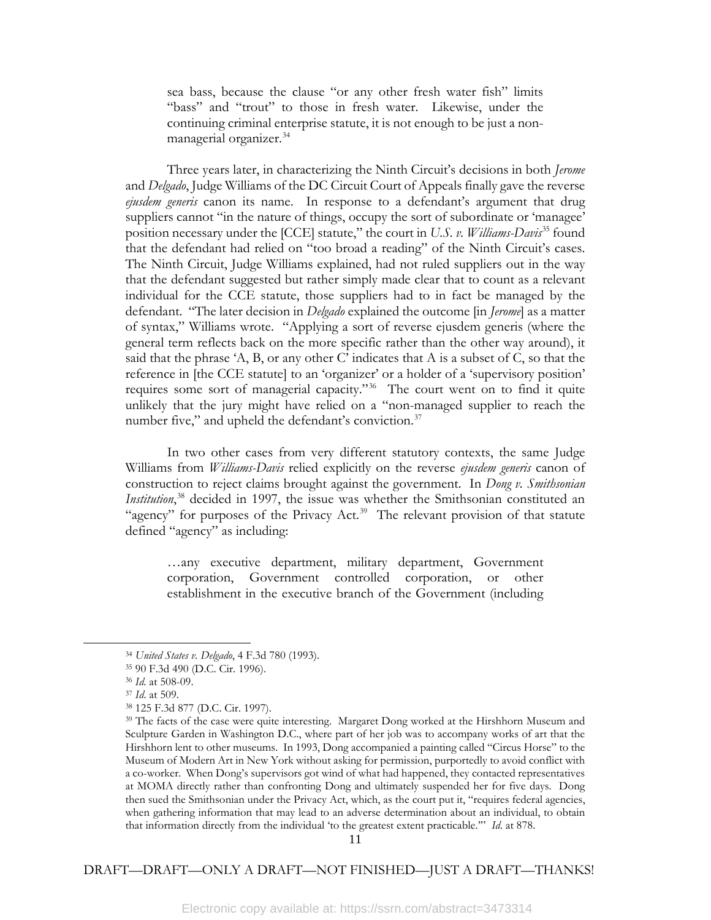sea bass, because the clause "or any other fresh water fish" limits "bass" and "trout" to those in fresh water. Likewise, under the continuing criminal enterprise statute, it is not enough to be just a non-managerial organizer.<sup>[34](#page-12-0)</sup>

Three years later, in characterizing the Ninth Circuit's decisions in both *Jerome*  and *Delgado*, Judge Williams of the DC Circuit Court of Appeals finally gave the reverse *ejusdem generis* canon its name. In response to a defendant's argument that drug suppliers cannot "in the nature of things, occupy the sort of subordinate or 'managee' position necessary under the [CCE] statute," the court in *U.S. v. Williams-Davis*<sup>[35](#page-12-1)</sup> found that the defendant had relied on "too broad a reading" of the Ninth Circuit's cases. The Ninth Circuit, Judge Williams explained, had not ruled suppliers out in the way that the defendant suggested but rather simply made clear that to count as a relevant individual for the CCE statute, those suppliers had to in fact be managed by the defendant. "The later decision in *Delgado* explained the outcome [in *Jerome*] as a matter of syntax," Williams wrote. "Applying a sort of reverse ejusdem generis (where the general term reflects back on the more specific rather than the other way around), it said that the phrase 'A, B, or any other C' indicates that A is a subset of C, so that the reference in [the CCE statute] to an 'organizer' or a holder of a 'supervisory position' requires some sort of managerial capacity."[36](#page-12-2) The court went on to find it quite unlikely that the jury might have relied on a "non-managed supplier to reach the number five," and upheld the defendant's conviction.<sup>[37](#page-12-3)</sup>

In two other cases from very different statutory contexts, the same Judge Williams from *Williams-Davis* relied explicitly on the reverse *ejusdem generis* canon of construction to reject claims brought against the government. In *Dong v. Smithsonian Institution*, [38](#page-12-4) decided in 1997, the issue was whether the Smithsonian constituted an "agency" for purposes of the Privacy Act.<sup>[39](#page-12-5)</sup> The relevant provision of that statute defined "agency" as including:

…any executive department, military department, Government corporation, Government controlled corporation, or other establishment in the executive branch of the Government (including

<span id="page-12-5"></span><span id="page-12-4"></span><span id="page-12-3"></span><span id="page-12-2"></span><span id="page-12-1"></span><span id="page-12-0"></span>l

<sup>34</sup> *United States v. Delgado*, 4 F.3d 780 (1993).

<sup>35</sup> 90 F.3d 490 (D.C. Cir. 1996).

<sup>36</sup> *Id.* at 508-09.

<sup>37</sup> *Id*. at 509.

<sup>38</sup> 125 F.3d 877 (D.C. Cir. 1997).

<sup>&</sup>lt;sup>39</sup> The facts of the case were quite interesting. Margaret Dong worked at the Hirshhorn Museum and Sculpture Garden in Washington D.C., where part of her job was to accompany works of art that the Hirshhorn lent to other museums. In 1993, Dong accompanied a painting called "Circus Horse" to the Museum of Modern Art in New York without asking for permission, purportedly to avoid conflict with a co-worker. When Dong's supervisors got wind of what had happened, they contacted representatives at MOMA directly rather than confronting Dong and ultimately suspended her for five days. Dong then sued the Smithsonian under the Privacy Act, which, as the court put it, "requires federal agencies, when gathering information that may lead to an adverse determination about an individual, to obtain that information directly from the individual 'to the greatest extent practicable.'" *Id*. at 878.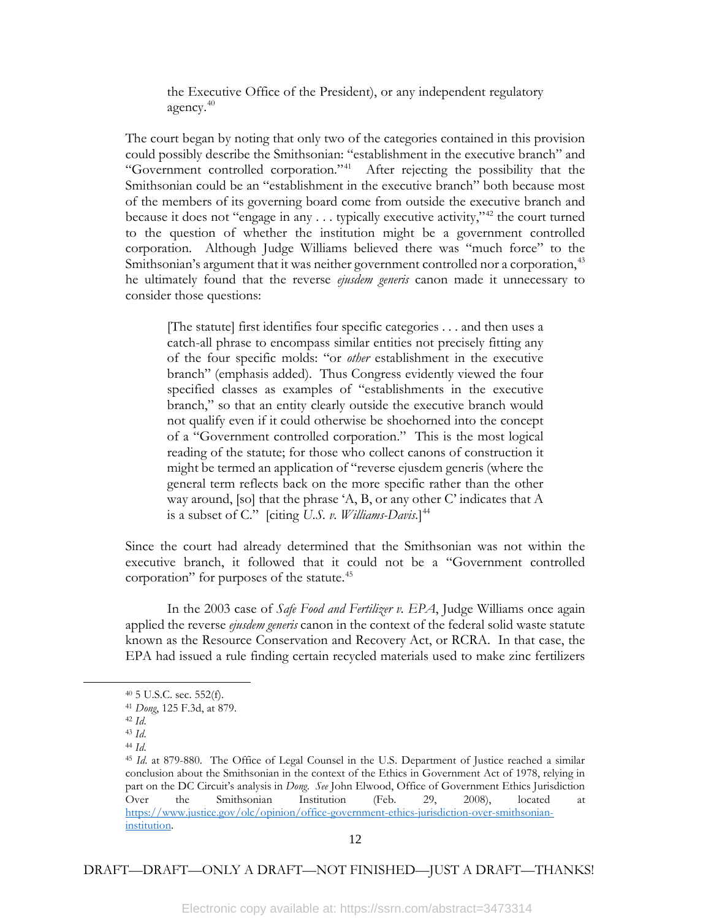the Executive Office of the President), or any independent regulatory agency.[40](#page-13-0)

The court began by noting that only two of the categories contained in this provision could possibly describe the Smithsonian: "establishment in the executive branch" and "Government controlled corporation."[41](#page-13-1) After rejecting the possibility that the Smithsonian could be an "establishment in the executive branch" both because most of the members of its governing board come from outside the executive branch and because it does not "engage in any  $\dots$  typically executive activity,"<sup>[42](#page-13-2)</sup> the court turned to the question of whether the institution might be a government controlled corporation. Although Judge Williams believed there was "much force" to the Smithsonian's argument that it was neither government controlled nor a corporation,<sup>[43](#page-13-3)</sup> he ultimately found that the reverse *ejusdem generis* canon made it unnecessary to consider those questions:

[The statute] first identifies four specific categories . . . and then uses a catch-all phrase to encompass similar entities not precisely fitting any of the four specific molds: "or *other* establishment in the executive branch" (emphasis added). Thus Congress evidently viewed the four specified classes as examples of "establishments in the executive branch," so that an entity clearly outside the executive branch would not qualify even if it could otherwise be shoehorned into the concept of a "Government controlled corporation." This is the most logical reading of the statute; for those who collect canons of construction it might be termed an application of "reverse ejusdem generis (where the general term reflects back on the more specific rather than the other way around, [so] that the phrase 'A, B, or any other C' indicates that A is a subset of C." [citing *U.S. v. Williams-Davis.*] [44](#page-13-4)

Since the court had already determined that the Smithsonian was not within the executive branch, it followed that it could not be a "Government controlled corporation" for purposes of the statute.<sup>[45](#page-13-5)</sup>

In the 2003 case of *Safe Food and Fertilizer v. EPA*, Judge Williams once again applied the reverse *ejusdem generis* canon in the context of the federal solid waste statute known as the Resource Conservation and Recovery Act, or RCRA. In that case, the EPA had issued a rule finding certain recycled materials used to make zinc fertilizers

<span id="page-13-5"></span><span id="page-13-4"></span><span id="page-13-3"></span><span id="page-13-2"></span><span id="page-13-1"></span><span id="page-13-0"></span>l

<sup>40</sup> 5 U.S.C. sec. 552(f).

<sup>41</sup> *Dong*, 125 F.3d, at 879.

<sup>42</sup> *Id*.

<sup>43</sup> *Id*. <sup>44</sup> *Id*.

<sup>45</sup> *Id*. at 879-880. The Office of Legal Counsel in the U.S. Department of Justice reached a similar conclusion about the Smithsonian in the context of the Ethics in Government Act of 1978, relying in part on the DC Circuit's analysis in *Dong*. *See* John Elwood, Office of Government Ethics Jurisdiction Over the Smithsonian Institution (Feb. 29, 2008), located [https://www.justice.gov/olc/opinion/office-government-ethics-jurisdiction-over-smithsonian](https://www.justice.gov/olc/opinion/office-government-ethics-jurisdiction-over-smithsonian-institution)[institution.](https://www.justice.gov/olc/opinion/office-government-ethics-jurisdiction-over-smithsonian-institution)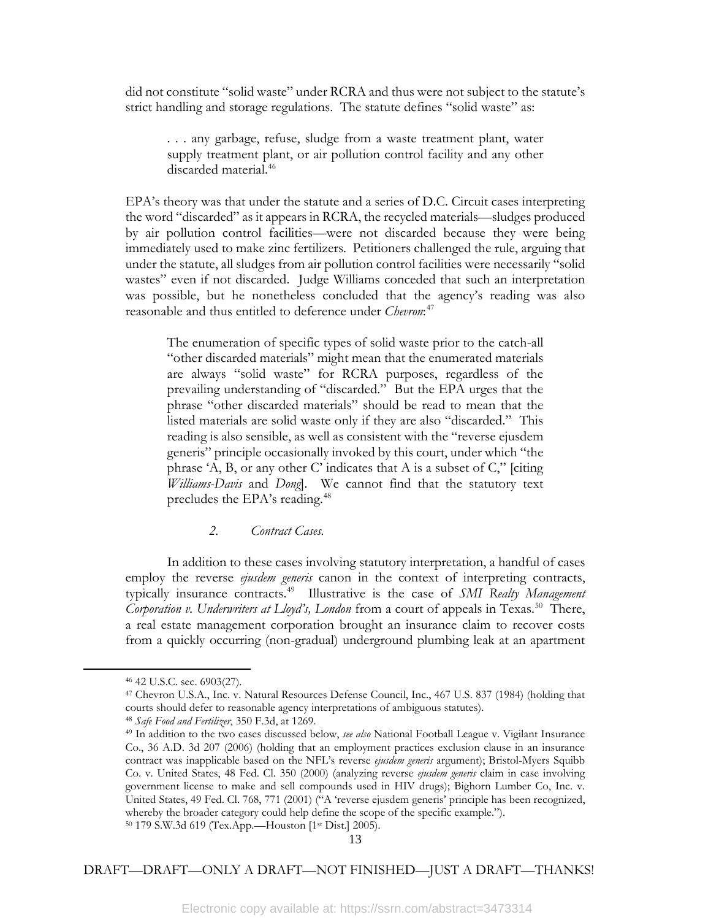did not constitute "solid waste" under RCRA and thus were not subject to the statute's strict handling and storage regulations. The statute defines "solid waste" as:

. . . any garbage, refuse, sludge from a waste treatment plant, water supply treatment plant, or air pollution control facility and any other discarded material.<sup>[46](#page-14-0)</sup>

EPA's theory was that under the statute and a series of D.C. Circuit cases interpreting the word "discarded" as it appears in RCRA, the recycled materials—sludges produced by air pollution control facilities—were not discarded because they were being immediately used to make zinc fertilizers. Petitioners challenged the rule, arguing that under the statute, all sludges from air pollution control facilities were necessarily "solid wastes" even if not discarded. Judge Williams conceded that such an interpretation was possible, but he nonetheless concluded that the agency's reading was also reasonable and thus entitled to deference under *Chevron*: [47](#page-14-1)

The enumeration of specific types of solid waste prior to the catch-all "other discarded materials" might mean that the enumerated materials are always "solid waste" for RCRA purposes, regardless of the prevailing understanding of "discarded." But the EPA urges that the phrase "other discarded materials" should be read to mean that the listed materials are solid waste only if they are also "discarded." This reading is also sensible, as well as consistent with the "reverse ejusdem generis" principle occasionally invoked by this court, under which "the phrase 'A, B, or any other C' indicates that A is a subset of C," [citing *Williams-Davis* and *Dong*]. We cannot find that the statutory text precludes the EPA's reading.<sup>[48](#page-14-2)</sup>

## *2. Contract Cases.*

In addition to these cases involving statutory interpretation, a handful of cases employ the reverse *ejusdem generis* canon in the context of interpreting contracts, typically insurance contracts.[49](#page-14-3) Illustrative is the case of *SMI Realty Management Corporation v. Underwriters at Lloyd's, London* from a court of appeals in Texas.<sup>[50](#page-14-4)</sup> There, a real estate management corporation brought an insurance claim to recover costs from a quickly occurring (non-gradual) underground plumbing leak at an apartment

<span id="page-14-3"></span><span id="page-14-2"></span><span id="page-14-1"></span><span id="page-14-0"></span>l

<span id="page-14-4"></span><sup>50</sup> 179 S.W.3d 619 (Tex.App.—Houston [1st Dist.] 2005).

<sup>46</sup> 42 U.S.C. sec. 6903(27).

<sup>47</sup> Chevron U.S.A., Inc. v. Natural Resources Defense Council, Inc., 467 U.S. 837 (1984) (holding that courts should defer to reasonable agency interpretations of ambiguous statutes).

<sup>48</sup> *Safe Food and Fertilizer*, 350 F.3d, at 1269.

<sup>49</sup> In addition to the two cases discussed below, *see also* National Football League v. Vigilant Insurance Co., 36 A.D. 3d 207 (2006) (holding that an employment practices exclusion clause in an insurance contract was inapplicable based on the NFL's reverse *ejusdem generis* argument); Bristol-Myers Squibb Co. v. United States, 48 Fed. Cl. 350 (2000) (analyzing reverse *ejusdem generis* claim in case involving government license to make and sell compounds used in HIV drugs); Bighorn Lumber Co, Inc. v. United States, 49 Fed. Cl. 768, 771 (2001) ("A 'reverse ejusdem generis' principle has been recognized, whereby the broader category could help define the scope of the specific example.").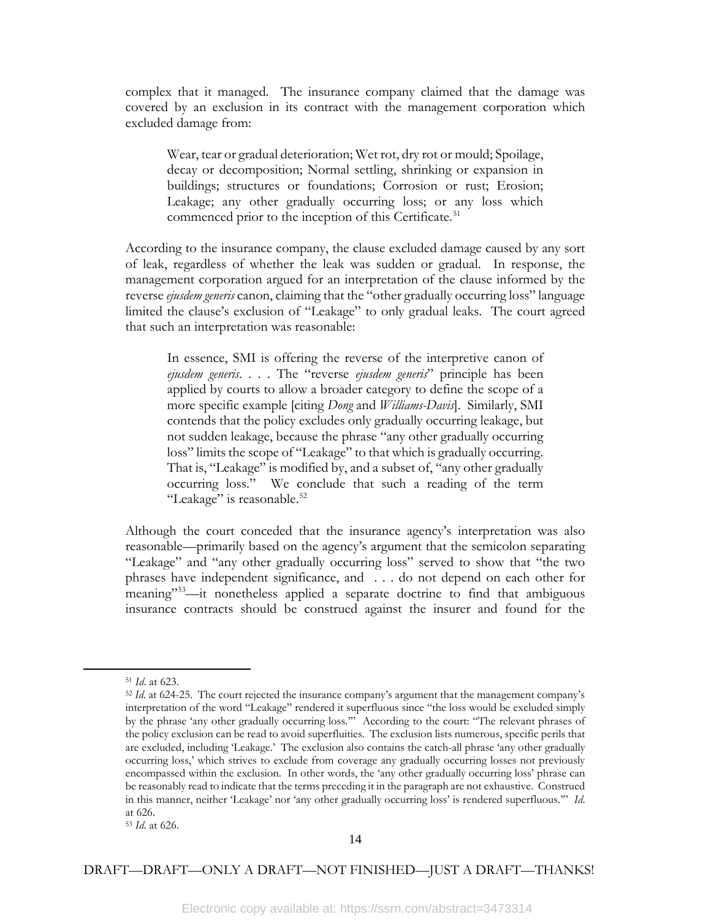complex that it managed. The insurance company claimed that the damage was covered by an exclusion in its contract with the management corporation which excluded damage from:

Wear, tear or gradual deterioration; Wet rot, dry rot or mould; Spoilage, decay or decomposition; Normal settling, shrinking or expansion in buildings; structures or foundations; Corrosion or rust; Erosion; Leakage; any other gradually occurring loss; or any loss which commenced prior to the inception of this Certificate.<sup>[51](#page-15-0)</sup>

According to the insurance company, the clause excluded damage caused by any sort of leak, regardless of whether the leak was sudden or gradual. In response, the management corporation argued for an interpretation of the clause informed by the reverse *ejusdem generis* canon, claiming that the "other gradually occurring loss" language limited the clause's exclusion of "Leakage" to only gradual leaks. The court agreed that such an interpretation was reasonable:

In essence, SMI is offering the reverse of the interpretive canon of *ejusdem generis*. . . . The "reverse *ejusdem generis*" principle has been applied by courts to allow a broader category to define the scope of a more specific example [citing *Dong* and *Williams-Davis*]. Similarly, SMI contends that the policy excludes only gradually occurring leakage, but not sudden leakage, because the phrase "any other gradually occurring loss" limits the scope of "Leakage" to that which is gradually occurring. That is, "Leakage" is modified by, and a subset of, "any other gradually occurring loss." We conclude that such a reading of the term "Leakage" is reasonable.<sup>[52](#page-15-1)</sup>

Although the court conceded that the insurance agency's interpretation was also reasonable—primarily based on the agency's argument that the semicolon separating "Leakage" and "any other gradually occurring loss" served to show that "the two phrases have independent significance, and . . . do not depend on each other for meaning"[53—](#page-15-2)it nonetheless applied a separate doctrine to find that ambiguous insurance contracts should be construed against the insurer and found for the

<span id="page-15-1"></span><span id="page-15-0"></span>l

<sup>51</sup> *Id*. at 623.

<sup>&</sup>lt;sup>52</sup> *Id.* at 624-25. The court rejected the insurance company's argument that the management company's interpretation of the word "Leakage" rendered it superfluous since "the loss would be excluded simply by the phrase 'any other gradually occurring loss.'" According to the court: "The relevant phrases of the policy exclusion can be read to avoid superfluities. The exclusion lists numerous, specific perils that are excluded, including 'Leakage.' The exclusion also contains the catch-all phrase 'any other gradually occurring loss,' which strives to exclude from coverage any gradually occurring losses not previously encompassed within the exclusion. In other words, the 'any other gradually occurring loss' phrase can be reasonably read to indicate that the terms preceding it in the paragraph are not exhaustive. Construed in this manner, neither 'Leakage' nor 'any other gradually occurring loss' is rendered superfluous.'" *Id*. at 626.

<span id="page-15-2"></span><sup>53</sup> *Id*. at 626.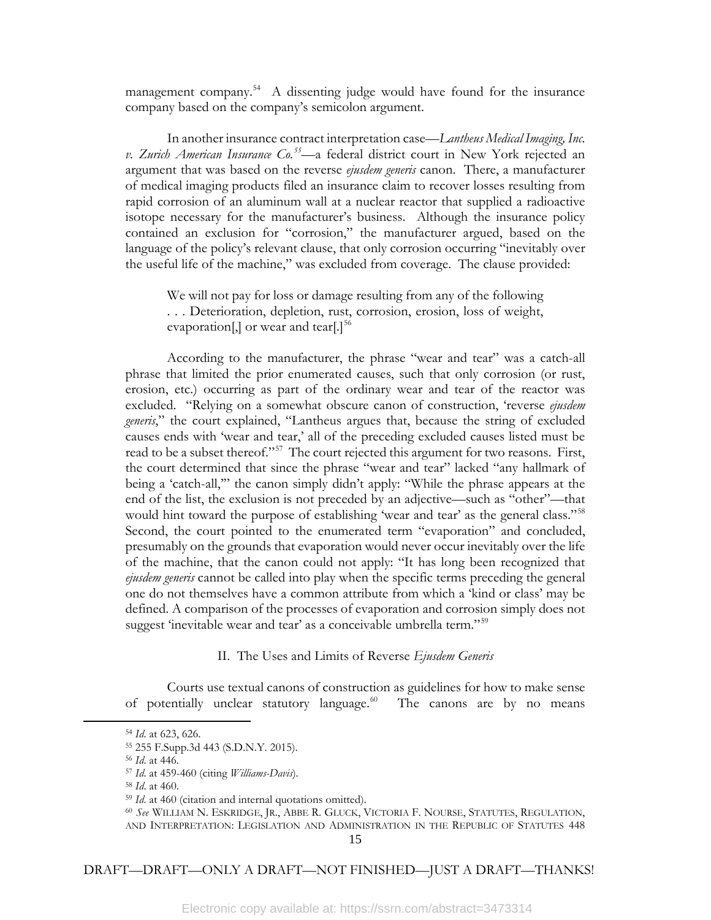management company.<sup>[54](#page-16-0)</sup> A dissenting judge would have found for the insurance company based on the company's semicolon argument.

In another insurance contract interpretation case—*Lantheus Medical Imaging, Inc. v. Zurich American Insurance Co.[55—](#page-16-1)*a federal district court in New York rejected an argument that was based on the reverse *ejusdem generis* canon. There, a manufacturer of medical imaging products filed an insurance claim to recover losses resulting from rapid corrosion of an aluminum wall at a nuclear reactor that supplied a radioactive isotope necessary for the manufacturer's business. Although the insurance policy contained an exclusion for "corrosion," the manufacturer argued, based on the language of the policy's relevant clause, that only corrosion occurring "inevitably over the useful life of the machine," was excluded from coverage. The clause provided:

We will not pay for loss or damage resulting from any of the following . . . Deterioration, depletion, rust, corrosion, erosion, loss of weight, evaporation[,] or wear and tear[.] $^{56}$  $^{56}$  $^{56}$ 

According to the manufacturer, the phrase "wear and tear" was a catch-all phrase that limited the prior enumerated causes, such that only corrosion (or rust, erosion, etc.) occurring as part of the ordinary wear and tear of the reactor was excluded. "Relying on a somewhat obscure canon of construction, 'reverse *ejusdem generis*," the court explained, "Lantheus argues that, because the string of excluded causes ends with 'wear and tear,' all of the preceding excluded causes listed must be read to be a subset thereof."<sup>57</sup> The court rejected this argument for two reasons. First, the court determined that since the phrase "wear and tear" lacked "any hallmark of being a 'catch-all,'" the canon simply didn't apply: "While the phrase appears at the end of the list, the exclusion is not preceded by an adjective—such as "other"—that would hint toward the purpose of establishing 'wear and tear' as the general class."<sup>[58](#page-16-4)</sup> Second, the court pointed to the enumerated term "evaporation" and concluded, presumably on the grounds that evaporation would never occur inevitably over the life of the machine, that the canon could not apply: "It has long been recognized that *ejusdem generis* cannot be called into play when the specific terms preceding the general one do not themselves have a common attribute from which a 'kind or class' may be defined. A comparison of the processes of evaporation and corrosion simply does not suggest 'inevitable wear and tear' as a conceivable umbrella term."<sup>[59](#page-16-5)</sup>

#### II. The Uses and Limits of Reverse *Ejusdem Generis*

Courts use textual canons of construction as guidelines for how to make sense of potentially unclear statutory language. $60$  The canons are by no means

<span id="page-16-6"></span><span id="page-16-5"></span><span id="page-16-4"></span><span id="page-16-3"></span><span id="page-16-2"></span><span id="page-16-1"></span><span id="page-16-0"></span>l

<sup>54</sup> *Id*. at 623, 626.

<sup>55</sup> 255 F.Supp.3d 443 (S.D.N.Y. 2015).

<sup>56</sup> *Id*. at 446.

<sup>57</sup> *Id*. at 459-460 (citing *Williams-Davis*).

<sup>58</sup> *Id*. at 460.

<sup>59</sup> *Id*. at 460 (citation and internal quotations omitted).

<sup>60</sup> *See* WILLIAM N. ESKRIDGE, JR., ABBE R. GLUCK, VICTORIA F. NOURSE, STATUTES, REGULATION, AND INTERPRETATION: LEGISLATION AND ADMINISTRATION IN THE REPUBLIC OF STATUTES 448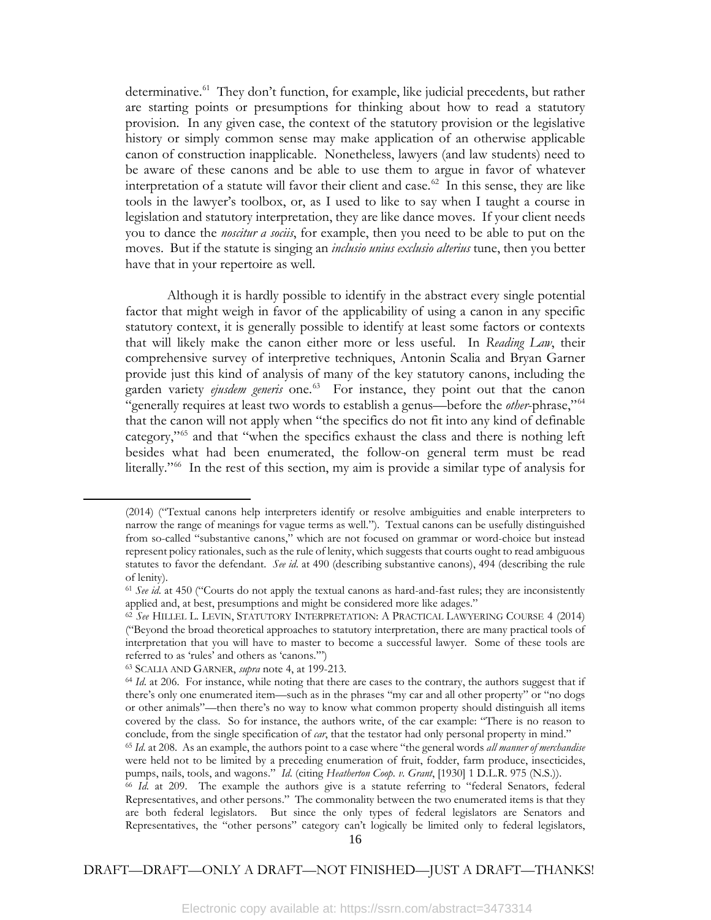determinative.<sup>61</sup> They don't function, for example, like judicial precedents, but rather are starting points or presumptions for thinking about how to read a statutory provision. In any given case, the context of the statutory provision or the legislative history or simply common sense may make application of an otherwise applicable canon of construction inapplicable. Nonetheless, lawyers (and law students) need to be aware of these canons and be able to use them to argue in favor of whatever interpretation of a statute will favor their client and case.<sup>[62](#page-17-1)</sup> In this sense, they are like tools in the lawyer's toolbox, or, as I used to like to say when I taught a course in legislation and statutory interpretation, they are like dance moves. If your client needs you to dance the *noscitur a sociis*, for example, then you need to be able to put on the moves. But if the statute is singing an *inclusio unius exclusio alterius* tune, then you better have that in your repertoire as well.

Although it is hardly possible to identify in the abstract every single potential factor that might weigh in favor of the applicability of using a canon in any specific statutory context, it is generally possible to identify at least some factors or contexts that will likely make the canon either more or less useful. In *Reading Law*, their comprehensive survey of interpretive techniques, Antonin Scalia and Bryan Garner provide just this kind of analysis of many of the key statutory canons, including the garden variety *ejusdem generis* one.<sup>63</sup> For instance, they point out that the canon "generally requires at least two words to establish a genus—before the *other*-phrase,"[64](#page-17-3) that the canon will not apply when "the specifics do not fit into any kind of definable category,["65](#page-17-4) and that "when the specifics exhaust the class and there is nothing left besides what had been enumerated, the follow-on general term must be read literally."[66](#page-17-5) In the rest of this section, my aim is provide a similar type of analysis for

<span id="page-17-0"></span>l

<sup>(2014) (&</sup>quot;Textual canons help interpreters identify or resolve ambiguities and enable interpreters to narrow the range of meanings for vague terms as well."). Textual canons can be usefully distinguished from so-called "substantive canons," which are not focused on grammar or word-choice but instead represent policy rationales, such as the rule of lenity, which suggests that courts ought to read ambiguous statutes to favor the defendant. *See id*. at 490 (describing substantive canons), 494 (describing the rule of lenity).

<sup>61</sup> *See id*. at 450 ("Courts do not apply the textual canons as hard-and-fast rules; they are inconsistently applied and, at best, presumptions and might be considered more like adages."

<span id="page-17-1"></span><sup>62</sup> *See* HILLEL L. LEVIN, STATUTORY INTERPRETATION: A PRACTICAL LAWYERING COURSE 4 (2014) ("Beyond the broad theoretical approaches to statutory interpretation, there are many practical tools of interpretation that you will have to master to become a successful lawyer. Some of these tools are referred to as 'rules' and others as 'canons.'")

<span id="page-17-2"></span><sup>63</sup> SCALIA AND GARNER, *supra* note 4, at 199-213.

<span id="page-17-3"></span><sup>&</sup>lt;sup>64</sup> *Id.* at 206. For instance, while noting that there are cases to the contrary, the authors suggest that if there's only one enumerated item—such as in the phrases "my car and all other property" or "no dogs or other animals"—then there's no way to know what common property should distinguish all items covered by the class. So for instance, the authors write, of the car example: "There is no reason to conclude, from the single specification of *car*, that the testator had only personal property in mind."

<span id="page-17-4"></span><sup>65</sup> *Id*. at 208. As an example, the authors point to a case where "the general words *all manner of merchandise* were held not to be limited by a preceding enumeration of fruit, fodder, farm produce, insecticides, pumps, nails, tools, and wagons." *Id*. (citing *Heatherton Coop. v. Grant*, [1930] 1 D.L.R. 975 (N.S.)).

<span id="page-17-5"></span><sup>66</sup> *Id.* at 209. The example the authors give is a statute referring to "federal Senators, federal Representatives, and other persons." The commonality between the two enumerated items is that they are both federal legislators. But since the only types of federal legislators are Senators and Representatives, the "other persons" category can't logically be limited only to federal legislators,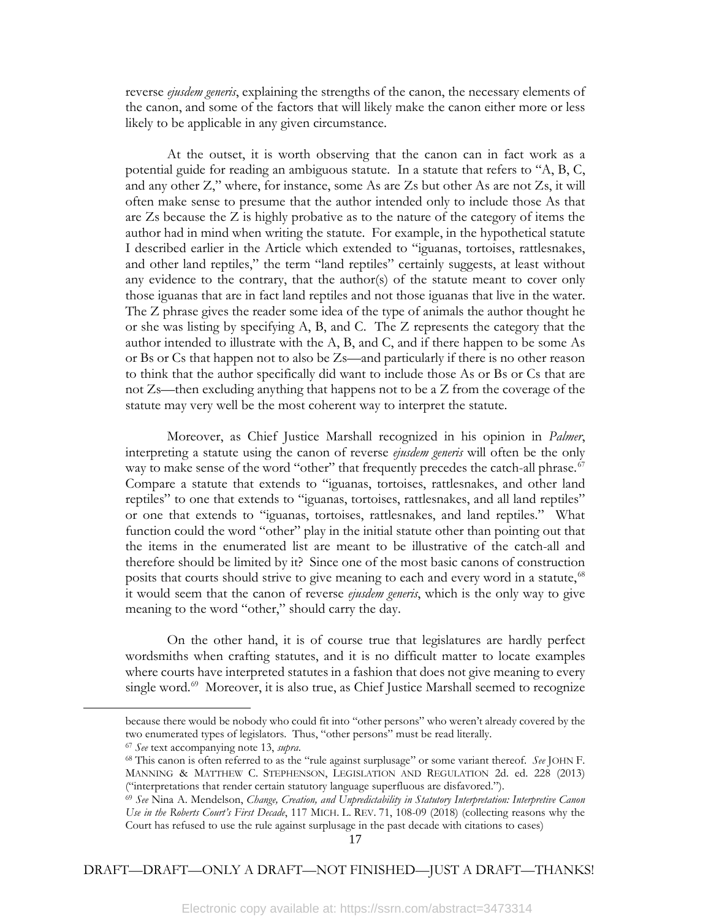reverse *ejusdem generis*, explaining the strengths of the canon, the necessary elements of the canon, and some of the factors that will likely make the canon either more or less likely to be applicable in any given circumstance.

At the outset, it is worth observing that the canon can in fact work as a potential guide for reading an ambiguous statute. In a statute that refers to "A, B, C, and any other Z," where, for instance, some As are Zs but other As are not Zs, it will often make sense to presume that the author intended only to include those As that are Zs because the Z is highly probative as to the nature of the category of items the author had in mind when writing the statute. For example, in the hypothetical statute I described earlier in the Article which extended to "iguanas, tortoises, rattlesnakes, and other land reptiles," the term "land reptiles" certainly suggests, at least without any evidence to the contrary, that the author(s) of the statute meant to cover only those iguanas that are in fact land reptiles and not those iguanas that live in the water. The Z phrase gives the reader some idea of the type of animals the author thought he or she was listing by specifying A, B, and C. The Z represents the category that the author intended to illustrate with the A, B, and C, and if there happen to be some As or Bs or Cs that happen not to also be Zs—and particularly if there is no other reason to think that the author specifically did want to include those As or Bs or Cs that are not Zs—then excluding anything that happens not to be a Z from the coverage of the statute may very well be the most coherent way to interpret the statute.

Moreover, as Chief Justice Marshall recognized in his opinion in *Palmer*, interpreting a statute using the canon of reverse *ejusdem generis* will often be the only way to make sense of the word "other" that frequently precedes the catch-all phrase.<sup>[67](#page-18-0)</sup> Compare a statute that extends to "iguanas, tortoises, rattlesnakes, and other land reptiles" to one that extends to "iguanas, tortoises, rattlesnakes, and all land reptiles" or one that extends to "iguanas, tortoises, rattlesnakes, and land reptiles." What function could the word "other" play in the initial statute other than pointing out that the items in the enumerated list are meant to be illustrative of the catch-all and therefore should be limited by it? Since one of the most basic canons of construction posits that courts should strive to give meaning to each and every word in a statute,<sup>[68](#page-18-1)</sup> it would seem that the canon of reverse *ejusdem generis*, which is the only way to give meaning to the word "other," should carry the day.

On the other hand, it is of course true that legislatures are hardly perfect wordsmiths when crafting statutes, and it is no difficult matter to locate examples where courts have interpreted statutes in a fashion that does not give meaning to every single word.<sup>[69](#page-18-2)</sup> Moreover, it is also true, as Chief Justice Marshall seemed to recognize

<span id="page-18-2"></span><span id="page-18-1"></span><span id="page-18-0"></span>l

because there would be nobody who could fit into "other persons" who weren't already covered by the two enumerated types of legislators. Thus, "other persons" must be read literally.

<sup>67</sup> *See* text accompanying note 13, *supra*.

<sup>68</sup> This canon is often referred to as the "rule against surplusage" or some variant thereof. *See* JOHN F. MANNING & MATTHEW C. STEPHENSON, LEGISLATION AND REGULATION 2d. ed. 228 (2013) ("interpretations that render certain statutory language superfluous are disfavored.").

<sup>69</sup> *See* Nina A. Mendelson, *Change, Creation, and Unpredictability in Statutory Interpretation: Interpretive Canon Use in the Roberts Court's First Decade*, 117 MICH. L. REV. 71, 108-09 (2018) (collecting reasons why the Court has refused to use the rule against surplusage in the past decade with citations to cases)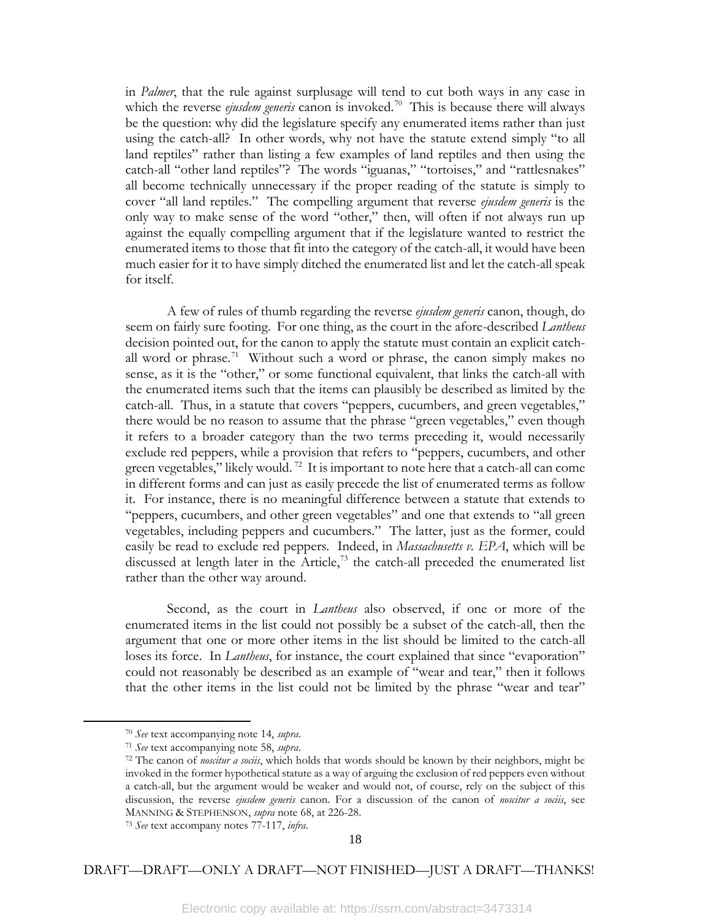in *Palmer*, that the rule against surplusage will tend to cut both ways in any case in which the reverse *ejusdem generis* canon is invoked.<sup>[70](#page-19-0)</sup> This is because there will always be the question: why did the legislature specify any enumerated items rather than just using the catch-all? In other words, why not have the statute extend simply "to all land reptiles" rather than listing a few examples of land reptiles and then using the catch-all "other land reptiles"? The words "iguanas," "tortoises," and "rattlesnakes" all become technically unnecessary if the proper reading of the statute is simply to cover "all land reptiles." The compelling argument that reverse *ejusdem generis* is the only way to make sense of the word "other," then, will often if not always run up against the equally compelling argument that if the legislature wanted to restrict the enumerated items to those that fit into the category of the catch-all, it would have been much easier for it to have simply ditched the enumerated list and let the catch-all speak for itself.

A few of rules of thumb regarding the reverse *ejusdem generis* canon, though, do seem on fairly sure footing. For one thing, as the court in the afore-described *Lantheus*  decision pointed out, for the canon to apply the statute must contain an explicit catchall word or phrase.<sup>71</sup> Without such a word or phrase, the canon simply makes no sense, as it is the "other," or some functional equivalent, that links the catch-all with the enumerated items such that the items can plausibly be described as limited by the catch-all. Thus, in a statute that covers "peppers, cucumbers, and green vegetables," there would be no reason to assume that the phrase "green vegetables," even though it refers to a broader category than the two terms preceding it, would necessarily exclude red peppers, while a provision that refers to "peppers, cucumbers, and other green vegetables," likely would.<sup>[72](#page-19-2)</sup> It is important to note here that a catch-all can come in different forms and can just as easily precede the list of enumerated terms as follow it. For instance, there is no meaningful difference between a statute that extends to "peppers, cucumbers, and other green vegetables" and one that extends to "all green vegetables, including peppers and cucumbers." The latter, just as the former, could easily be read to exclude red peppers. Indeed, in *Massachusetts v. EPA*, which will be discussed at length later in the Article, $73$  the catch-all preceded the enumerated list rather than the other way around.

Second, as the court in *Lantheus* also observed, if one or more of the enumerated items in the list could not possibly be a subset of the catch-all, then the argument that one or more other items in the list should be limited to the catch-all loses its force. In *Lantheus*, for instance, the court explained that since "evaporation" could not reasonably be described as an example of "wear and tear," then it follows that the other items in the list could not be limited by the phrase "wear and tear"

<span id="page-19-2"></span><span id="page-19-1"></span><span id="page-19-0"></span>l

<sup>70</sup> *See* text accompanying note 14, *supra*.

<sup>71</sup> *See* text accompanying note 58, *supra*.

<sup>72</sup> The canon of *noscitur a sociis*, which holds that words should be known by their neighbors, might be invoked in the former hypothetical statute as a way of arguing the exclusion of red peppers even without a catch-all, but the argument would be weaker and would not, of course, rely on the subject of this discussion, the reverse *ejusdem generis* canon. For a discussion of the canon of *noscitur a sociis*, see MANNING & STEPHENSON, *supra* note 68, at 226-28.

<span id="page-19-3"></span><sup>73</sup> *See* text accompany notes 77-117, *infra*.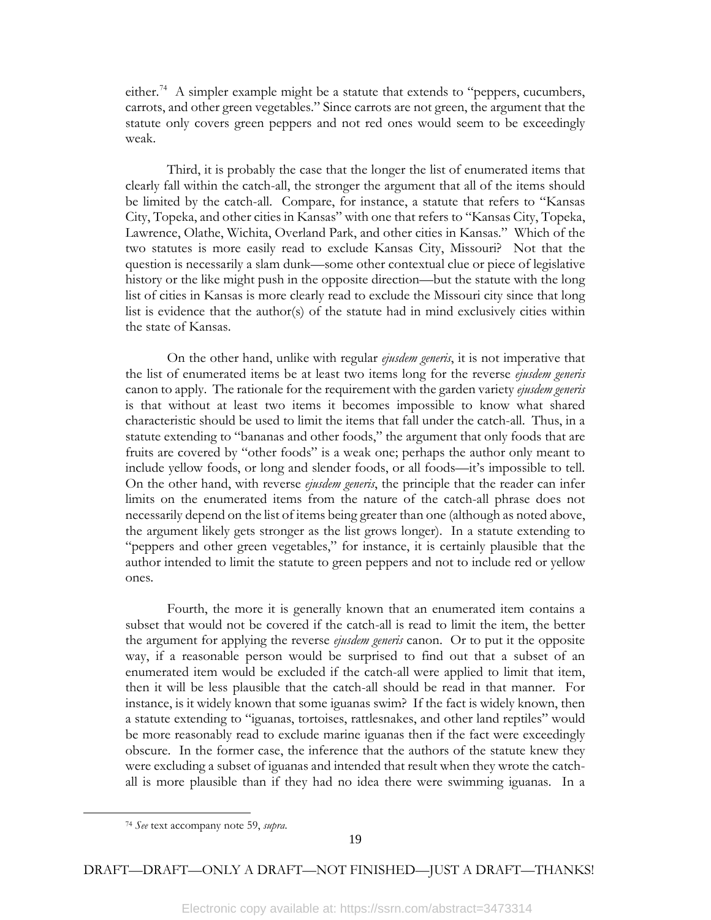either.<sup>[74](#page-20-0)</sup> A simpler example might be a statute that extends to "peppers, cucumbers, carrots, and other green vegetables." Since carrots are not green, the argument that the statute only covers green peppers and not red ones would seem to be exceedingly weak.

Third, it is probably the case that the longer the list of enumerated items that clearly fall within the catch-all, the stronger the argument that all of the items should be limited by the catch-all. Compare, for instance, a statute that refers to "Kansas City, Topeka, and other cities in Kansas" with one that refers to "Kansas City, Topeka, Lawrence, Olathe, Wichita, Overland Park, and other cities in Kansas." Which of the two statutes is more easily read to exclude Kansas City, Missouri? Not that the question is necessarily a slam dunk—some other contextual clue or piece of legislative history or the like might push in the opposite direction—but the statute with the long list of cities in Kansas is more clearly read to exclude the Missouri city since that long list is evidence that the author(s) of the statute had in mind exclusively cities within the state of Kansas.

On the other hand, unlike with regular *ejusdem generis*, it is not imperative that the list of enumerated items be at least two items long for the reverse *ejusdem generis*  canon to apply. The rationale for the requirement with the garden variety *ejusdem generis* is that without at least two items it becomes impossible to know what shared characteristic should be used to limit the items that fall under the catch-all. Thus, in a statute extending to "bananas and other foods," the argument that only foods that are fruits are covered by "other foods" is a weak one; perhaps the author only meant to include yellow foods, or long and slender foods, or all foods—it's impossible to tell. On the other hand, with reverse *ejusdem generis*, the principle that the reader can infer limits on the enumerated items from the nature of the catch-all phrase does not necessarily depend on the list of items being greater than one (although as noted above, the argument likely gets stronger as the list grows longer). In a statute extending to "peppers and other green vegetables," for instance, it is certainly plausible that the author intended to limit the statute to green peppers and not to include red or yellow ones.

Fourth, the more it is generally known that an enumerated item contains a subset that would not be covered if the catch-all is read to limit the item, the better the argument for applying the reverse *ejusdem generis* canon. Or to put it the opposite way, if a reasonable person would be surprised to find out that a subset of an enumerated item would be excluded if the catch-all were applied to limit that item, then it will be less plausible that the catch-all should be read in that manner. For instance, is it widely known that some iguanas swim? If the fact is widely known, then a statute extending to "iguanas, tortoises, rattlesnakes, and other land reptiles" would be more reasonably read to exclude marine iguanas then if the fact were exceedingly obscure. In the former case, the inference that the authors of the statute knew they were excluding a subset of iguanas and intended that result when they wrote the catchall is more plausible than if they had no idea there were swimming iguanas. In a

<span id="page-20-0"></span>l

<sup>74</sup> *See* text accompany note 59, *supra*.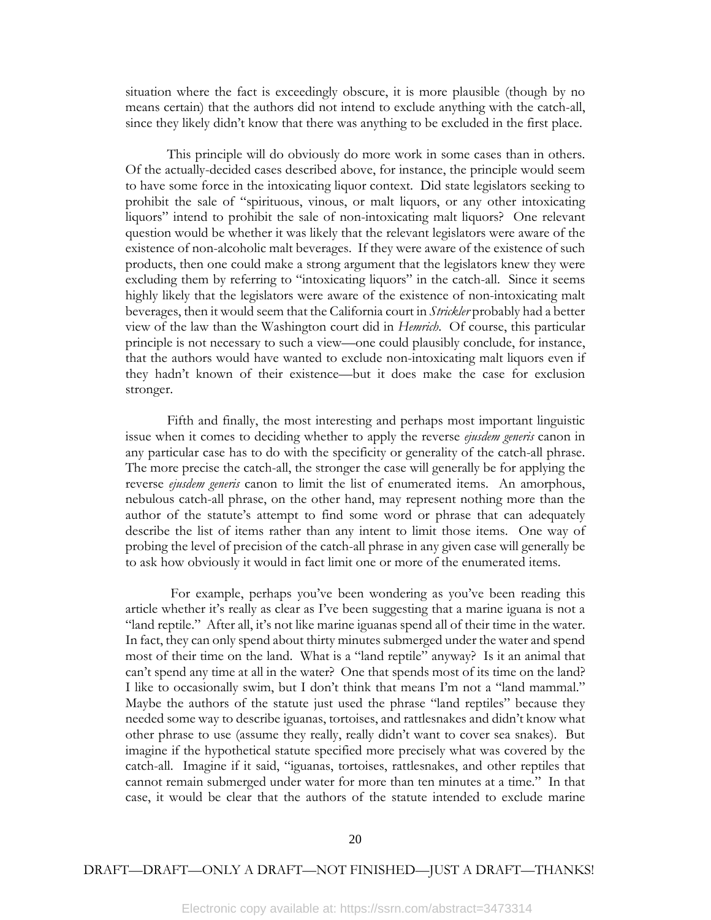situation where the fact is exceedingly obscure, it is more plausible (though by no means certain) that the authors did not intend to exclude anything with the catch-all, since they likely didn't know that there was anything to be excluded in the first place.

This principle will do obviously do more work in some cases than in others. Of the actually-decided cases described above, for instance, the principle would seem to have some force in the intoxicating liquor context. Did state legislators seeking to prohibit the sale of "spirituous, vinous, or malt liquors, or any other intoxicating liquors" intend to prohibit the sale of non-intoxicating malt liquors? One relevant question would be whether it was likely that the relevant legislators were aware of the existence of non-alcoholic malt beverages. If they were aware of the existence of such products, then one could make a strong argument that the legislators knew they were excluding them by referring to "intoxicating liquors" in the catch-all. Since it seems highly likely that the legislators were aware of the existence of non-intoxicating malt beverages, then it would seem that the California court in *Strickler* probably had a better view of the law than the Washington court did in *Hemrich*. Of course, this particular principle is not necessary to such a view—one could plausibly conclude, for instance, that the authors would have wanted to exclude non-intoxicating malt liquors even if they hadn't known of their existence—but it does make the case for exclusion stronger.

Fifth and finally, the most interesting and perhaps most important linguistic issue when it comes to deciding whether to apply the reverse *ejusdem generis* canon in any particular case has to do with the specificity or generality of the catch-all phrase. The more precise the catch-all, the stronger the case will generally be for applying the reverse *ejusdem generis* canon to limit the list of enumerated items. An amorphous, nebulous catch-all phrase, on the other hand, may represent nothing more than the author of the statute's attempt to find some word or phrase that can adequately describe the list of items rather than any intent to limit those items. One way of probing the level of precision of the catch-all phrase in any given case will generally be to ask how obviously it would in fact limit one or more of the enumerated items.

For example, perhaps you've been wondering as you've been reading this article whether it's really as clear as I've been suggesting that a marine iguana is not a "land reptile." After all, it's not like marine iguanas spend all of their time in the water. In fact, they can only spend about thirty minutes submerged under the water and spend most of their time on the land. What is a "land reptile" anyway? Is it an animal that can't spend any time at all in the water? One that spends most of its time on the land? I like to occasionally swim, but I don't think that means I'm not a "land mammal." Maybe the authors of the statute just used the phrase "land reptiles" because they needed some way to describe iguanas, tortoises, and rattlesnakes and didn't know what other phrase to use (assume they really, really didn't want to cover sea snakes). But imagine if the hypothetical statute specified more precisely what was covered by the catch-all. Imagine if it said, "iguanas, tortoises, rattlesnakes, and other reptiles that cannot remain submerged under water for more than ten minutes at a time." In that case, it would be clear that the authors of the statute intended to exclude marine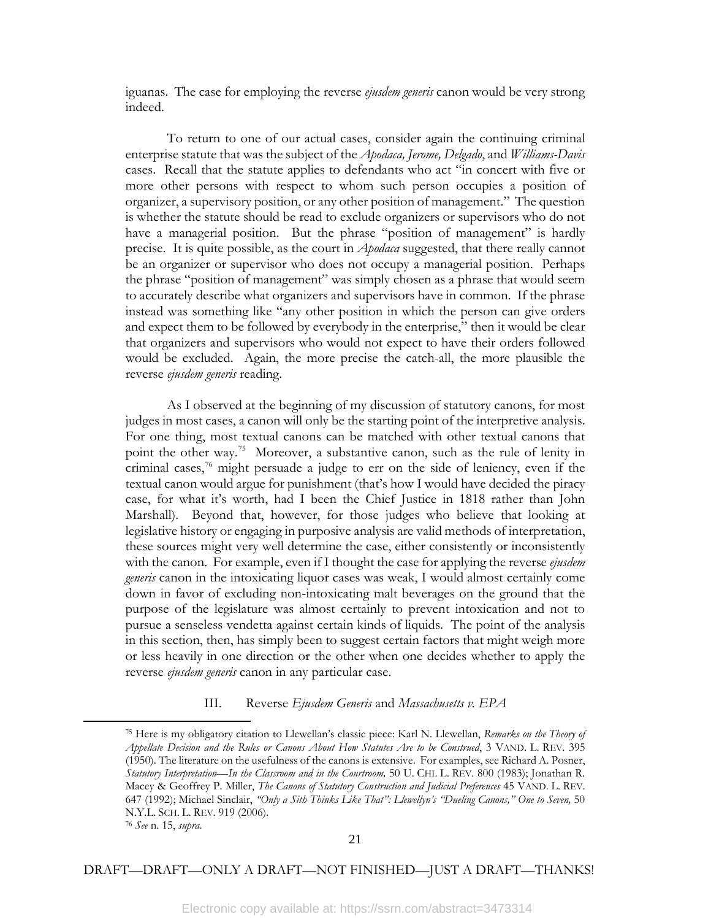iguanas. The case for employing the reverse *ejusdem generis* canon would be very strong indeed.

To return to one of our actual cases, consider again the continuing criminal enterprise statute that was the subject of the *Apodaca, Jerome, Delgado*, and *Williams-Davis* cases. Recall that the statute applies to defendants who act "in concert with five or more other persons with respect to whom such person occupies a position of organizer, a supervisory position, or any other position of management." The question is whether the statute should be read to exclude organizers or supervisors who do not have a managerial position. But the phrase "position of management" is hardly precise. It is quite possible, as the court in *Apodaca* suggested, that there really cannot be an organizer or supervisor who does not occupy a managerial position. Perhaps the phrase "position of management" was simply chosen as a phrase that would seem to accurately describe what organizers and supervisors have in common. If the phrase instead was something like "any other position in which the person can give orders and expect them to be followed by everybody in the enterprise," then it would be clear that organizers and supervisors who would not expect to have their orders followed would be excluded. Again, the more precise the catch-all, the more plausible the reverse *ejusdem generis* reading.

As I observed at the beginning of my discussion of statutory canons, for most judges in most cases, a canon will only be the starting point of the interpretive analysis. For one thing, most textual canons can be matched with other textual canons that point the other way.<sup>75</sup> Moreover, a substantive canon, such as the rule of lenity in criminal cases,[76](#page-22-1) might persuade a judge to err on the side of leniency, even if the textual canon would argue for punishment (that's how I would have decided the piracy case, for what it's worth, had I been the Chief Justice in 1818 rather than John Marshall). Beyond that, however, for those judges who believe that looking at legislative history or engaging in purposive analysis are valid methods of interpretation, these sources might very well determine the case, either consistently or inconsistently with the canon. For example, even if I thought the case for applying the reverse *ejusdem generis* canon in the intoxicating liquor cases was weak, I would almost certainly come down in favor of excluding non-intoxicating malt beverages on the ground that the purpose of the legislature was almost certainly to prevent intoxication and not to pursue a senseless vendetta against certain kinds of liquids. The point of the analysis in this section, then, has simply been to suggest certain factors that might weigh more or less heavily in one direction or the other when one decides whether to apply the reverse *ejusdem generis* canon in any particular case.

#### III. Reverse *Ejusdem Generis* and *Massachusetts v. EPA*

<span id="page-22-0"></span>l

<sup>75</sup> Here is my obligatory citation to Llewellan's classic piece: Karl N. Llewellan, *Remarks on the Theory of Appellate Decision and the Rules or Canons About How Statutes Are to be Construed*, 3 VAND. L. REV. 395 (1950). The literature on the usefulness of the canons is extensive. For examples, see Richard A. Posner, *Statutory Interpretation—In the Classroom and in the Courtroom,* 50 U. CHI. L. REV. 800 (1983); Jonathan R. Macey & Geoffrey P. Miller, *The Canons of Statutory Construction and Judicial Preferences* 45 VAND. L. REV. 647 (1992); Michael Sinclair, *"Only a Sith Thinks Like That": Llewellyn's "Dueling Canons," One to Seven,* 50 N.Y.L. SCH. L. REV. 919 (2006).

<span id="page-22-1"></span><sup>76</sup> *See* n. 15, *supra*.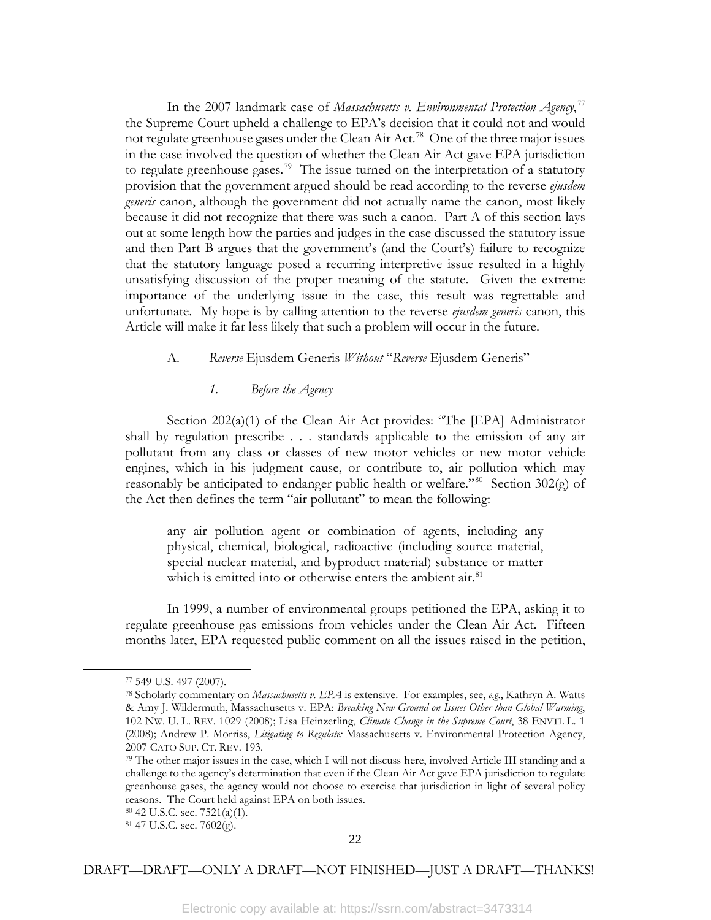In the 2007 landmark case of *Massachusetts v. Environmental Protection Agency*, [77](#page-23-0) the Supreme Court upheld a challenge to EPA's decision that it could not and would not regulate greenhouse gases under the Clean Air Act.<sup>78</sup> One of the three major issues in the case involved the question of whether the Clean Air Act gave EPA jurisdiction to regulate greenhouse gases.<sup>[79](#page-23-2)</sup> The issue turned on the interpretation of a statutory provision that the government argued should be read according to the reverse *ejusdem generis* canon, although the government did not actually name the canon, most likely because it did not recognize that there was such a canon. Part A of this section lays out at some length how the parties and judges in the case discussed the statutory issue and then Part B argues that the government's (and the Court's) failure to recognize that the statutory language posed a recurring interpretive issue resulted in a highly unsatisfying discussion of the proper meaning of the statute. Given the extreme importance of the underlying issue in the case, this result was regrettable and unfortunate. My hope is by calling attention to the reverse *ejusdem generis* canon, this Article will make it far less likely that such a problem will occur in the future.

# A. *Reverse* Ejusdem Generis *Without* "*Reverse* Ejusdem Generis"

# *1. Before the Agency*

Section 202(a)(1) of the Clean Air Act provides: "The [EPA] Administrator shall by regulation prescribe . . . standards applicable to the emission of any air pollutant from any class or classes of new motor vehicles or new motor vehicle engines, which in his judgment cause, or contribute to, air pollution which may reasonably be anticipated to endanger public health or welfare.<sup>"80</sup> Section 302(g) of the Act then defines the term "air pollutant" to mean the following:

any air pollution agent or combination of agents, including any physical, chemical, biological, radioactive (including source material, special nuclear material, and byproduct material) substance or matter which is emitted into or otherwise enters the ambient air. $81$ 

In 1999, a number of environmental groups petitioned the EPA, asking it to regulate greenhouse gas emissions from vehicles under the Clean Air Act. Fifteen months later, EPA requested public comment on all the issues raised in the petition,

<span id="page-23-2"></span><span id="page-23-1"></span><span id="page-23-0"></span>l

<sup>77</sup> 549 U.S. 497 (2007).

<sup>78</sup> Scholarly commentary on *Massachusetts v. EPA* is extensive. For examples, see, *e.g.*, Kathryn A. Watts & Amy J. Wildermuth, Massachusetts v. EPA: *Breaking New Ground on Issues Other than Global Warming*, 102 NW. U. L. REV. 1029 (2008); Lisa Heinzerling, *Climate Change in the Supreme Court*, 38 ENVTL L. 1 (2008); Andrew P. Morriss, *Litigating to Regulate:* Massachusetts v. Environmental Protection Agency, 2007 CATO SUP. CT. REV. 193.

<sup>79</sup> The other major issues in the case, which I will not discuss here, involved Article III standing and a challenge to the agency's determination that even if the Clean Air Act gave EPA jurisdiction to regulate greenhouse gases, the agency would not choose to exercise that jurisdiction in light of several policy reasons. The Court held against EPA on both issues.

<sup>80</sup> 42 U.S.C. sec. 7521(a)(1).

<span id="page-23-4"></span><span id="page-23-3"></span><sup>81</sup> 47 U.S.C. sec. 7602(g).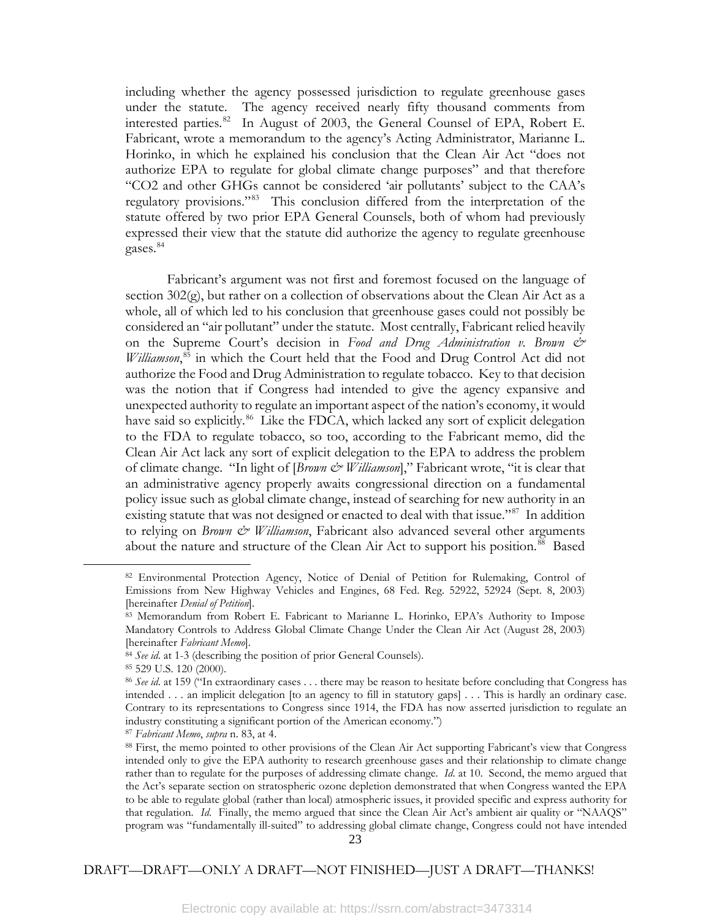including whether the agency possessed jurisdiction to regulate greenhouse gases under the statute. The agency received nearly fifty thousand comments from interested parties.[82](#page-24-0) In August of 2003, the General Counsel of EPA, Robert E. Fabricant, wrote a memorandum to the agency's Acting Administrator, Marianne L. Horinko, in which he explained his conclusion that the Clean Air Act "does not authorize EPA to regulate for global climate change purposes" and that therefore "CO2 and other GHGs cannot be considered 'air pollutants' subject to the CAA's regulatory provisions."[83](#page-24-1) This conclusion differed from the interpretation of the statute offered by two prior EPA General Counsels, both of whom had previously expressed their view that the statute did authorize the agency to regulate greenhouse gases.<sup>[84](#page-24-2)</sup>

Fabricant's argument was not first and foremost focused on the language of section  $302(g)$ , but rather on a collection of observations about the Clean Air Act as a whole, all of which led to his conclusion that greenhouse gases could not possibly be considered an "air pollutant" under the statute. Most centrally, Fabricant relied heavily on the Supreme Court's decision in *Food and Drug Administration v. Brown & Williamson*, [85](#page-24-3) in which the Court held that the Food and Drug Control Act did not authorize the Food and Drug Administration to regulate tobacco. Key to that decision was the notion that if Congress had intended to give the agency expansive and unexpected authority to regulate an important aspect of the nation's economy, it would have said so explicitly.<sup>[86](#page-24-4)</sup> Like the FDCA, which lacked any sort of explicit delegation to the FDA to regulate tobacco, so too, according to the Fabricant memo, did the Clean Air Act lack any sort of explicit delegation to the EPA to address the problem of climate change. "In light of [*Brown & Williamson*]," Fabricant wrote, "it is clear that an administrative agency properly awaits congressional direction on a fundamental policy issue such as global climate change, instead of searching for new authority in an existing statute that was not designed or enacted to deal with that issue."<sup>[87](#page-24-5)</sup> In addition to relying on *Brown & Williamson*, Fabricant also advanced several other arguments about the nature and structure of the Clean Air Act to support his position.<sup>88</sup> Based

<span id="page-24-2"></span><span id="page-24-1"></span><span id="page-24-0"></span>l

<sup>82</sup> Environmental Protection Agency, Notice of Denial of Petition for Rulemaking, Control of Emissions from New Highway Vehicles and Engines, 68 Fed. Reg. 52922, 52924 (Sept. 8, 2003) [hereinafter *Denial of Petition*].

<sup>83</sup> Memorandum from Robert E. Fabricant to Marianne L. Horinko, EPA's Authority to Impose Mandatory Controls to Address Global Climate Change Under the Clean Air Act (August 28, 2003) [hereinafter *Fabricant Memo*].

<sup>&</sup>lt;sup>84</sup> See id. at 1-3 (describing the position of prior General Counsels).

<span id="page-24-3"></span><sup>85</sup> 529 U.S. 120 (2000).

<span id="page-24-4"></span><sup>86</sup> *See id*. at 159 ("In extraordinary cases . . . there may be reason to hesitate before concluding that Congress has intended . . . an implicit delegation [to an agency to fill in statutory gaps] . . . This is hardly an ordinary case. Contrary to its representations to Congress since 1914, the FDA has now asserted jurisdiction to regulate an industry constituting a significant portion of the American economy.")

<span id="page-24-5"></span><sup>87</sup> *Fabricant Memo*, *supra* n. 83, at 4.

<span id="page-24-6"></span><sup>88</sup> First, the memo pointed to other provisions of the Clean Air Act supporting Fabricant's view that Congress intended only to give the EPA authority to research greenhouse gases and their relationship to climate change rather than to regulate for the purposes of addressing climate change. *Id*. at 10. Second, the memo argued that the Act's separate section on stratospheric ozone depletion demonstrated that when Congress wanted the EPA to be able to regulate global (rather than local) atmospheric issues, it provided specific and express authority for that regulation. *Id*. Finally, the memo argued that since the Clean Air Act's ambient air quality or "NAAQS" program was "fundamentally ill-suited" to addressing global climate change, Congress could not have intended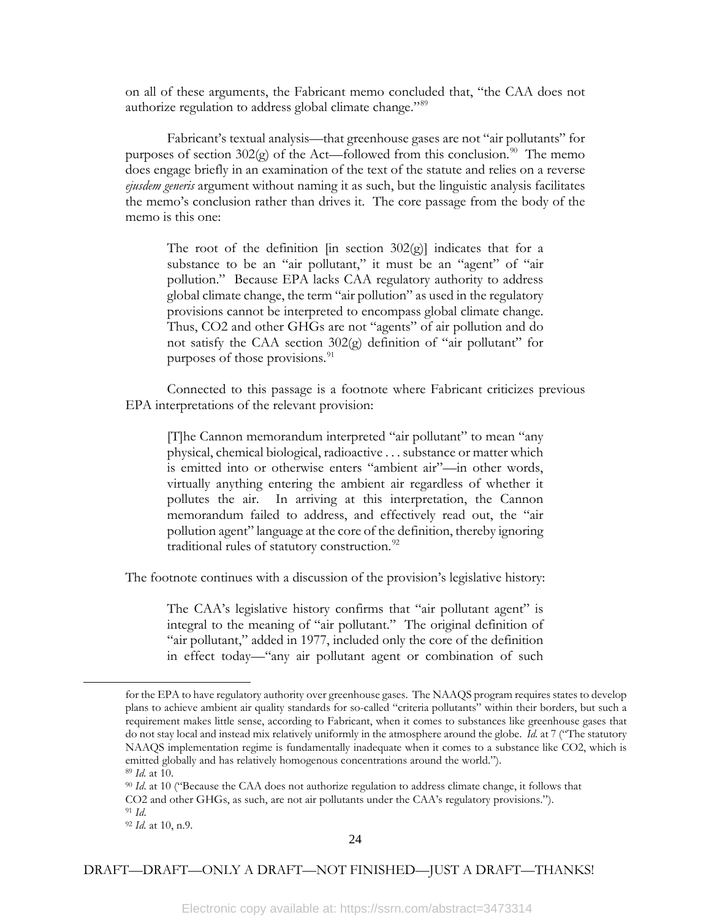on all of these arguments, the Fabricant memo concluded that, "the CAA does not authorize regulation to address global climate change."<sup>[89](#page-25-0)</sup>

Fabricant's textual analysis—that greenhouse gases are not "air pollutants" for purposes of section  $302(g)$  of the Act—followed from this conclusion.<sup>90</sup> The memo does engage briefly in an examination of the text of the statute and relies on a reverse *ejusdem generis* argument without naming it as such, but the linguistic analysis facilitates the memo's conclusion rather than drives it. The core passage from the body of the memo is this one:

The root of the definition  $\left[\text{in section } 302\text{(g)}\right]$  indicates that for a substance to be an "air pollutant," it must be an "agent" of "air pollution." Because EPA lacks CAA regulatory authority to address global climate change, the term "air pollution" as used in the regulatory provisions cannot be interpreted to encompass global climate change. Thus, CO2 and other GHGs are not "agents" of air pollution and do not satisfy the CAA section 302(g) definition of "air pollutant" for purposes of those provisions.<sup>[91](#page-25-2)</sup>

Connected to this passage is a footnote where Fabricant criticizes previous EPA interpretations of the relevant provision:

[T]he Cannon memorandum interpreted "air pollutant" to mean "any physical, chemical biological, radioactive . . . substance or matter which is emitted into or otherwise enters "ambient air"—in other words, virtually anything entering the ambient air regardless of whether it pollutes the air. In arriving at this interpretation, the Cannon memorandum failed to address, and effectively read out, the "air pollution agent" language at the core of the definition, thereby ignoring traditional rules of statutory construction.<sup>[92](#page-25-3)</sup>

The footnote continues with a discussion of the provision's legislative history:

The CAA's legislative history confirms that "air pollutant agent" is integral to the meaning of "air pollutant." The original definition of "air pollutant," added in 1977, included only the core of the definition in effect today—"any air pollutant agent or combination of such

<span id="page-25-0"></span>l

for the EPA to have regulatory authority over greenhouse gases. The NAAQS program requires states to develop plans to achieve ambient air quality standards for so-called "criteria pollutants" within their borders, but such a requirement makes little sense, according to Fabricant, when it comes to substances like greenhouse gases that do not stay local and instead mix relatively uniformly in the atmosphere around the globe. *Id.* at 7 ("The statutory NAAQS implementation regime is fundamentally inadequate when it comes to a substance like CO2, which is emitted globally and has relatively homogenous concentrations around the world.").

<sup>89</sup> *Id.* at 10.

<span id="page-25-1"></span><sup>90</sup> *Id*. at 10 ("Because the CAA does not authorize regulation to address climate change, it follows that CO2 and other GHGs, as such, are not air pollutants under the CAA's regulatory provisions."). <sup>91</sup> *Id*. 92 *Id.* at 10, n.9.

<span id="page-25-3"></span><span id="page-25-2"></span>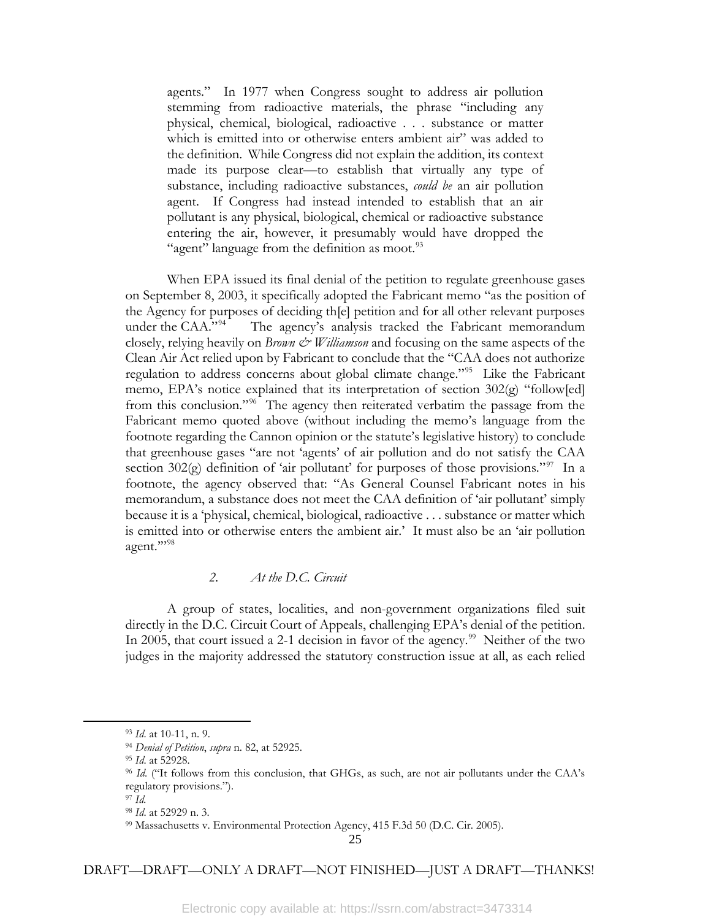agents." In 1977 when Congress sought to address air pollution stemming from radioactive materials, the phrase "including any physical, chemical, biological, radioactive . . . substance or matter which is emitted into or otherwise enters ambient air" was added to the definition. While Congress did not explain the addition, its context made its purpose clear—to establish that virtually any type of substance, including radioactive substances, *could be* an air pollution agent. If Congress had instead intended to establish that an air pollutant is any physical, biological, chemical or radioactive substance entering the air, however, it presumably would have dropped the "agent" language from the definition as moot. $93$ 

When EPA issued its final denial of the petition to regulate greenhouse gases on September 8, 2003, it specifically adopted the Fabricant memo "as the position of the Agency for purposes of deciding th[e] petition and for all other relevant purposes under the CAA."<sup>[94](#page-26-1)</sup> The agency's analysis tracked the Fabricant memorandum closely, relying heavily on *Brown & Williamson* and focusing on the same aspects of the Clean Air Act relied upon by Fabricant to conclude that the "CAA does not authorize regulation to address concerns about global climate change."[95](#page-26-2) Like the Fabricant memo, EPA's notice explained that its interpretation of section 302(g) "follow[ed] from this conclusion."[96](#page-26-3) The agency then reiterated verbatim the passage from the Fabricant memo quoted above (without including the memo's language from the footnote regarding the Cannon opinion or the statute's legislative history) to conclude that greenhouse gases "are not 'agents' of air pollution and do not satisfy the CAA section 302(g) definition of 'air pollutant' for purposes of those provisions."<sup>[97](#page-26-4)</sup> In a footnote, the agency observed that: "As General Counsel Fabricant notes in his memorandum, a substance does not meet the CAA definition of 'air pollutant' simply because it is a 'physical, chemical, biological, radioactive . . . substance or matter which is emitted into or otherwise enters the ambient air.' It must also be an 'air pollution agent.""<sup>[98](#page-26-5)</sup>

# *2. At the D.C. Circuit*

A group of states, localities, and non-government organizations filed suit directly in the D.C. Circuit Court of Appeals, challenging EPA's denial of the petition. In 2005, that court issued a 2-1 decision in favor of the agency.<sup>[99](#page-26-6)</sup> Neither of the two judges in the majority addressed the statutory construction issue at all, as each relied

<span id="page-26-5"></span><span id="page-26-4"></span><span id="page-26-3"></span><span id="page-26-2"></span><span id="page-26-1"></span><span id="page-26-0"></span>l

<sup>93</sup> *Id*. at 10-11, n. 9.

<sup>94</sup> *Denial of Petition*, *supra* n. 82, at 52925.

<sup>95</sup> *Id*. at 52928.

<sup>96</sup> *Id*. ("It follows from this conclusion, that GHGs, as such, are not air pollutants under the CAA's regulatory provisions.").

<sup>97</sup> *Id.* 98 *Id*. at 52929 n. 3.

<span id="page-26-6"></span><sup>99</sup> Massachusetts v. Environmental Protection Agency, 415 F.3d 50 (D.C. Cir. 2005).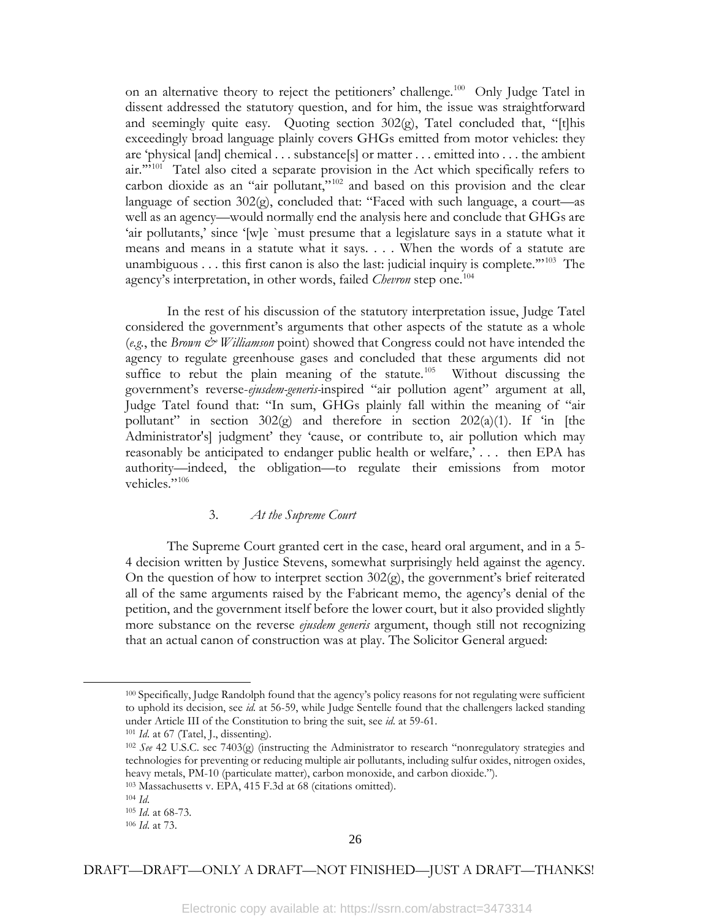on an alternative theory to reject the petitioners' challenge.<sup>100</sup> Only Judge Tatel in dissent addressed the statutory question, and for him, the issue was straightforward and seemingly quite easy. Quoting section  $302(g)$ , Tatel concluded that, "[t]his exceedingly broad language plainly covers GHGs emitted from motor vehicles: they are 'physical [and] chemical . . . substance[s] or matter . . . emitted into . . . the ambient air."<sup>101</sup> Tatel also cited a separate provision in the Act which specifically refers to carbon dioxide as an "air pollutant,"[102](#page-27-2) and based on this provision and the clear language of section 302(g), concluded that: "Faced with such language, a court—as well as an agency—would normally end the analysis here and conclude that GHGs are 'air pollutants,' since '[w]e `must presume that a legislature says in a statute what it means and means in a statute what it says. . . . When the words of a statute are unambiguous . . . this first canon is also the last: judicial inquiry is complete."<sup>[103](#page-27-3)</sup> The agency's interpretation, in other words, failed *Chevron* step one.<sup>[104](#page-27-4)</sup>

In the rest of his discussion of the statutory interpretation issue, Judge Tatel considered the government's arguments that other aspects of the statute as a whole (*e.g.*, the *Brown & Williamson* point) showed that Congress could not have intended the agency to regulate greenhouse gases and concluded that these arguments did not suffice to rebut the plain meaning of the statute.<sup>[105](#page-27-5)</sup> Without discussing the government's reverse-*ejusdem-generis-*inspired "air pollution agent" argument at all, Judge Tatel found that: "In sum, GHGs plainly fall within the meaning of "air pollutant" in section  $302(g)$  and therefore in section  $202(a)(1)$ . If 'in [the Administrator's] judgment' they 'cause, or contribute to, air pollution which may reasonably be anticipated to endanger public health or welfare,' . . . then EPA has authority—indeed, the obligation—to regulate their emissions from motor vehicles."<sup>[106](#page-27-6)</sup>

# 3. *At the Supreme Court*

The Supreme Court granted cert in the case, heard oral argument, and in a 5- 4 decision written by Justice Stevens, somewhat surprisingly held against the agency. On the question of how to interpret section  $302<sub>(g)</sub>$ , the government's brief reiterated all of the same arguments raised by the Fabricant memo, the agency's denial of the petition, and the government itself before the lower court, but it also provided slightly more substance on the reverse *ejusdem generis* argument, though still not recognizing that an actual canon of construction was at play. The Solicitor General argued:

<span id="page-27-2"></span><span id="page-27-1"></span><span id="page-27-0"></span>l

<sup>100</sup> Specifically, Judge Randolph found that the agency's policy reasons for not regulating were sufficient to uphold its decision, see *id.* at 56-59, while Judge Sentelle found that the challengers lacked standing under Article III of the Constitution to bring the suit, see *id*. at 59-61.

<sup>&</sup>lt;sup>101</sup> *Id.* at 67 (Tatel, J., dissenting).

<sup>102</sup> *See* 42 U.S.C. sec 7403(g) (instructing the Administrator to research "nonregulatory strategies and technologies for preventing or reducing multiple air pollutants, including sulfur oxides, nitrogen oxides, heavy metals, PM-10 (particulate matter), carbon monoxide, and carbon dioxide.").

<sup>103</sup> Massachusetts v. EPA, 415 F.3d at 68 (citations omitted).

<span id="page-27-5"></span><span id="page-27-4"></span><span id="page-27-3"></span><sup>104</sup> *Id*.

<span id="page-27-6"></span><sup>105</sup> *Id*. at 68-73. <sup>106</sup> *Id*. at 73.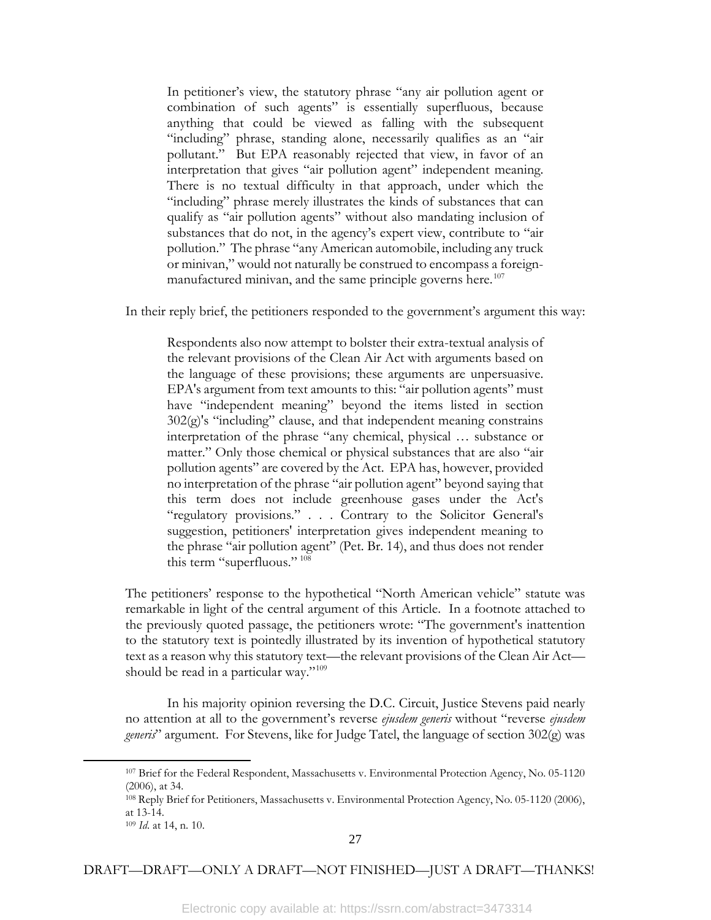In petitioner's view, the statutory phrase "any air pollution agent or combination of such agents" is essentially superfluous, because anything that could be viewed as falling with the subsequent "including" phrase, standing alone, necessarily qualifies as an "air pollutant." But EPA reasonably rejected that view, in favor of an interpretation that gives "air pollution agent" independent meaning. There is no textual difficulty in that approach, under which the "including" phrase merely illustrates the kinds of substances that can qualify as "air pollution agents" without also mandating inclusion of substances that do not, in the agency's expert view, contribute to "air pollution." The phrase "any American automobile, including any truck or minivan," would not naturally be construed to encompass a foreign-manufactured minivan, and the same principle governs here.<sup>[107](#page-28-0)</sup>

In their reply brief, the petitioners responded to the government's argument this way:

Respondents also now attempt to bolster their extra-textual analysis of the relevant provisions of the Clean Air Act with arguments based on the language of these provisions; these arguments are unpersuasive. EPA's argument from text amounts to this: "air pollution agents" must have "independent meaning" beyond the items listed in section 302(g)'s "including" clause, and that independent meaning constrains interpretation of the phrase "any chemical, physical … substance or matter." Only those chemical or physical substances that are also "air pollution agents" are covered by the Act. EPA has, however, provided no interpretation of the phrase "air pollution agent" beyond saying that this term does not include greenhouse gases under the Act's "regulatory provisions." . . . Contrary to the Solicitor General's suggestion, petitioners' interpretation gives independent meaning to the phrase "air pollution agent" (Pet. Br. 14), and thus does not render this term "superfluous." [108](#page-28-1)

The petitioners' response to the hypothetical "North American vehicle" statute was remarkable in light of the central argument of this Article. In a footnote attached to the previously quoted passage, the petitioners wrote: "The government's inattention to the statutory text is pointedly illustrated by its invention of hypothetical statutory text as a reason why this statutory text—the relevant provisions of the Clean Air Act— should be read in a particular way."<sup>[109](#page-28-2)</sup>

In his majority opinion reversing the D.C. Circuit, Justice Stevens paid nearly no attention at all to the government's reverse *ejusdem generis* without "reverse *ejusdem generis*" argument. For Stevens, like for Judge Tatel, the language of section 302(g) was

<span id="page-28-2"></span><span id="page-28-1"></span><span id="page-28-0"></span>l

<sup>107</sup> Brief for the Federal Respondent, Massachusetts v. Environmental Protection Agency, No. 05-1120 (2006), at 34.

<sup>108</sup> Reply Brief for Petitioners, Massachusetts v. Environmental Protection Agency, No. 05-1120 (2006), at 13-14.

<sup>109</sup> *Id*. at 14, n. 10.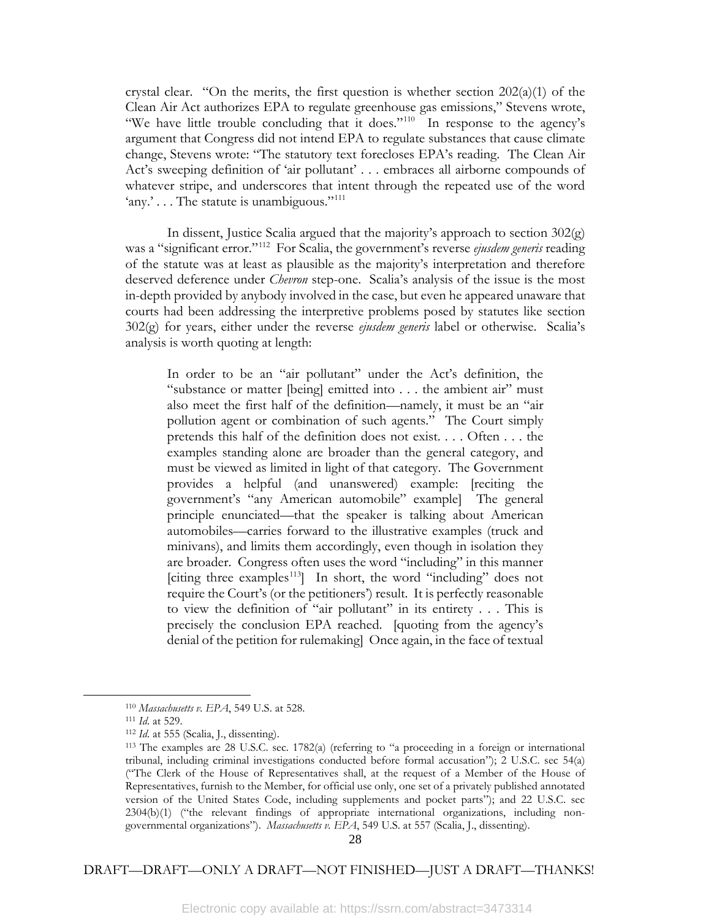crystal clear. "On the merits, the first question is whether section  $202(a)(1)$  of the Clean Air Act authorizes EPA to regulate greenhouse gas emissions," Stevens wrote, "We have little trouble concluding that it does."<sup>[110](#page-29-0)</sup> In response to the agency's argument that Congress did not intend EPA to regulate substances that cause climate change, Stevens wrote: "The statutory text forecloses EPA's reading. The Clean Air Act's sweeping definition of 'air pollutant' . . . embraces all airborne compounds of whatever stripe, and underscores that intent through the repeated use of the word 'any.' . . . The statute is unambiguous."<sup>[111](#page-29-1)</sup>

In dissent, Justice Scalia argued that the majority's approach to section 302(g) was a "significant error."[112](#page-29-2) For Scalia, the government's reverse *ejusdem generis* reading of the statute was at least as plausible as the majority's interpretation and therefore deserved deference under *Chevron* step-one. Scalia's analysis of the issue is the most in-depth provided by anybody involved in the case, but even he appeared unaware that courts had been addressing the interpretive problems posed by statutes like section 302(g) for years, either under the reverse *ejusdem generis* label or otherwise. Scalia's analysis is worth quoting at length:

In order to be an "air pollutant" under the Act's definition, the "substance or matter [being] emitted into . . . the ambient air" must also meet the first half of the definition—namely, it must be an "air pollution agent or combination of such agents." The Court simply pretends this half of the definition does not exist. . . . Often . . . the examples standing alone are broader than the general category, and must be viewed as limited in light of that category. The Government provides a helpful (and unanswered) example: [reciting the government's "any American automobile" example] The general principle enunciated—that the speaker is talking about American automobiles—carries forward to the illustrative examples (truck and minivans), and limits them accordingly, even though in isolation they are broader. Congress often uses the word "including" in this manner [citing three examples<sup>113</sup>] In short, the word "including" does not require the Court's (or the petitioners') result. It is perfectly reasonable to view the definition of "air pollutant" in its entirety . . . This is precisely the conclusion EPA reached. [quoting from the agency's denial of the petition for rulemaking] Once again, in the face of textual

<span id="page-29-3"></span><span id="page-29-2"></span><span id="page-29-1"></span><span id="page-29-0"></span>l

<sup>110</sup> *Massachusetts v. EPA*, 549 U.S. at 528.

<sup>111</sup> *Id*. at 529. 112 *Id*. at 555 (Scalia, J., dissenting).

<sup>113</sup> The examples are 28 U.S.C. sec. 1782(a) (referring to "a proceeding in a foreign or international tribunal, including criminal investigations conducted before formal accusation"); 2 U.S.C. sec 54(a) ("The Clerk of the House of Representatives shall, at the request of a Member of the House of Representatives, furnish to the Member, for official use only, one set of a privately published annotated version of the United States Code, including supplements and pocket parts"); and 22 U.S.C. sec 2304(b)(1) ("the relevant findings of appropriate international organizations, including nongovernmental organizations"). *Massachusetts v. EPA*, 549 U.S. at 557 (Scalia, J., dissenting).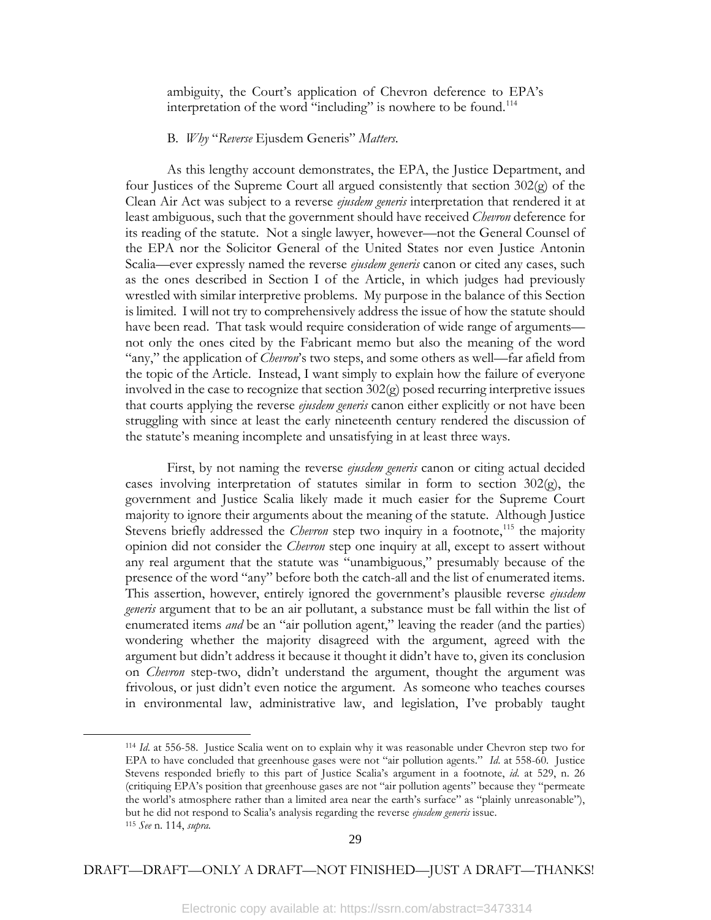ambiguity, the Court's application of Chevron deference to EPA's interpretation of the word "including" is nowhere to be found.<sup>[114](#page-30-0)</sup>

#### B*. Why* "*Reverse* Ejusdem Generis" *Matters*.

As this lengthy account demonstrates, the EPA, the Justice Department, and four Justices of the Supreme Court all argued consistently that section 302(g) of the Clean Air Act was subject to a reverse *ejusdem generis* interpretation that rendered it at least ambiguous, such that the government should have received *Chevron* deference for its reading of the statute. Not a single lawyer, however—not the General Counsel of the EPA nor the Solicitor General of the United States nor even Justice Antonin Scalia—ever expressly named the reverse *ejusdem generis* canon or cited any cases, such as the ones described in Section I of the Article, in which judges had previously wrestled with similar interpretive problems. My purpose in the balance of this Section is limited. I will not try to comprehensively address the issue of how the statute should have been read. That task would require consideration of wide range of arguments not only the ones cited by the Fabricant memo but also the meaning of the word "any," the application of *Chevron*'s two steps, and some others as well—far afield from the topic of the Article. Instead, I want simply to explain how the failure of everyone involved in the case to recognize that section 302(g) posed recurring interpretive issues that courts applying the reverse *ejusdem generis* canon either explicitly or not have been struggling with since at least the early nineteenth century rendered the discussion of the statute's meaning incomplete and unsatisfying in at least three ways.

First, by not naming the reverse *ejusdem generis* canon or citing actual decided cases involving interpretation of statutes similar in form to section  $302<sub>(g)</sub>$ , the government and Justice Scalia likely made it much easier for the Supreme Court majority to ignore their arguments about the meaning of the statute. Although Justice Stevens briefly addressed the *Chevron* step two inquiry in a footnote,<sup>[115](#page-30-1)</sup> the majority opinion did not consider the *Chevron* step one inquiry at all, except to assert without any real argument that the statute was "unambiguous," presumably because of the presence of the word "any" before both the catch-all and the list of enumerated items. This assertion, however, entirely ignored the government's plausible reverse *ejusdem generis* argument that to be an air pollutant, a substance must be fall within the list of enumerated items *and* be an "air pollution agent," leaving the reader (and the parties) wondering whether the majority disagreed with the argument, agreed with the argument but didn't address it because it thought it didn't have to, given its conclusion on *Chevron* step-two, didn't understand the argument, thought the argument was frivolous, or just didn't even notice the argument. As someone who teaches courses in environmental law, administrative law, and legislation, I've probably taught

<span id="page-30-1"></span><span id="page-30-0"></span>l

<sup>114</sup> *Id*. at 556-58. Justice Scalia went on to explain why it was reasonable under Chevron step two for EPA to have concluded that greenhouse gases were not "air pollution agents." *Id*. at 558-60. Justice Stevens responded briefly to this part of Justice Scalia's argument in a footnote, *id*. at 529, n. 26 (critiquing EPA's position that greenhouse gases are not "air pollution agents" because they "permeate the world's atmosphere rather than a limited area near the earth's surface" as "plainly unreasonable"), but he did not respond to Scalia's analysis regarding the reverse *ejusdem generis* issue. <sup>115</sup> *See* n. 114, *supra.*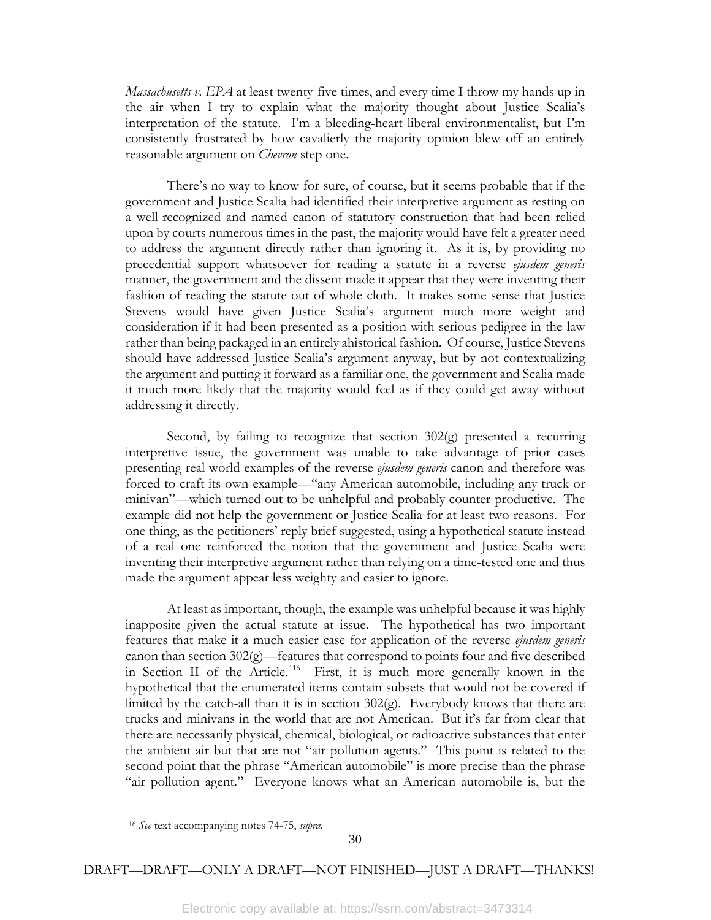*Massachusetts v. EPA* at least twenty-five times, and every time I throw my hands up in the air when I try to explain what the majority thought about Justice Scalia's interpretation of the statute. I'm a bleeding-heart liberal environmentalist, but I'm consistently frustrated by how cavalierly the majority opinion blew off an entirely reasonable argument on *Chevron* step one.

There's no way to know for sure, of course, but it seems probable that if the government and Justice Scalia had identified their interpretive argument as resting on a well-recognized and named canon of statutory construction that had been relied upon by courts numerous times in the past, the majority would have felt a greater need to address the argument directly rather than ignoring it. As it is, by providing no precedential support whatsoever for reading a statute in a reverse *ejusdem generis* manner, the government and the dissent made it appear that they were inventing their fashion of reading the statute out of whole cloth. It makes some sense that Justice Stevens would have given Justice Scalia's argument much more weight and consideration if it had been presented as a position with serious pedigree in the law rather than being packaged in an entirely ahistorical fashion. Of course, Justice Stevens should have addressed Justice Scalia's argument anyway, but by not contextualizing the argument and putting it forward as a familiar one, the government and Scalia made it much more likely that the majority would feel as if they could get away without addressing it directly.

Second, by failing to recognize that section 302(g) presented a recurring interpretive issue, the government was unable to take advantage of prior cases presenting real world examples of the reverse *ejusdem generis* canon and therefore was forced to craft its own example—"any American automobile, including any truck or minivan"—which turned out to be unhelpful and probably counter-productive. The example did not help the government or Justice Scalia for at least two reasons. For one thing, as the petitioners' reply brief suggested, using a hypothetical statute instead of a real one reinforced the notion that the government and Justice Scalia were inventing their interpretive argument rather than relying on a time-tested one and thus made the argument appear less weighty and easier to ignore.

At least as important, though, the example was unhelpful because it was highly inapposite given the actual statute at issue. The hypothetical has two important features that make it a much easier case for application of the reverse *ejusdem generis* canon than section 302(g)—features that correspond to points four and five described in Section II of the Article.<sup>116</sup> First, it is much more generally known in the hypothetical that the enumerated items contain subsets that would not be covered if limited by the catch-all than it is in section  $302(g)$ . Everybody knows that there are trucks and minivans in the world that are not American. But it's far from clear that there are necessarily physical, chemical, biological, or radioactive substances that enter the ambient air but that are not "air pollution agents." This point is related to the second point that the phrase "American automobile" is more precise than the phrase "air pollution agent." Everyone knows what an American automobile is, but the

<span id="page-31-0"></span>l

<sup>116</sup> *See* text accompanying notes 74-75, *supra*.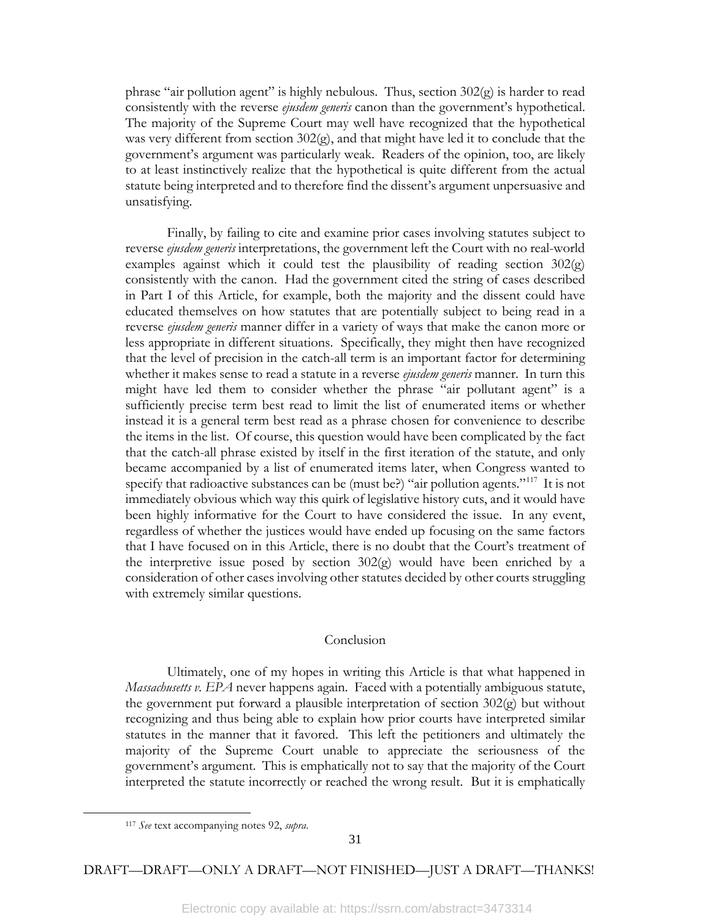phrase "air pollution agent" is highly nebulous. Thus, section  $302(g)$  is harder to read consistently with the reverse *ejusdem generis* canon than the government's hypothetical. The majority of the Supreme Court may well have recognized that the hypothetical was very different from section 302(g), and that might have led it to conclude that the government's argument was particularly weak. Readers of the opinion, too, are likely to at least instinctively realize that the hypothetical is quite different from the actual statute being interpreted and to therefore find the dissent's argument unpersuasive and unsatisfying.

Finally, by failing to cite and examine prior cases involving statutes subject to reverse *ejusdem generis* interpretations, the government left the Court with no real-world examples against which it could test the plausibility of reading section  $302(g)$ consistently with the canon. Had the government cited the string of cases described in Part I of this Article, for example, both the majority and the dissent could have educated themselves on how statutes that are potentially subject to being read in a reverse *ejusdem generis* manner differ in a variety of ways that make the canon more or less appropriate in different situations. Specifically, they might then have recognized that the level of precision in the catch-all term is an important factor for determining whether it makes sense to read a statute in a reverse *ejusdem generis* manner. In turn this might have led them to consider whether the phrase "air pollutant agent" is a sufficiently precise term best read to limit the list of enumerated items or whether instead it is a general term best read as a phrase chosen for convenience to describe the items in the list. Of course, this question would have been complicated by the fact that the catch-all phrase existed by itself in the first iteration of the statute, and only became accompanied by a list of enumerated items later, when Congress wanted to specify that radioactive substances can be (must be?) "air pollution agents."<sup>[117](#page-32-0)</sup> It is not immediately obvious which way this quirk of legislative history cuts, and it would have been highly informative for the Court to have considered the issue. In any event, regardless of whether the justices would have ended up focusing on the same factors that I have focused on in this Article, there is no doubt that the Court's treatment of the interpretive issue posed by section  $302(g)$  would have been enriched by a consideration of other cases involving other statutes decided by other courts struggling with extremely similar questions.

#### Conclusion

Ultimately, one of my hopes in writing this Article is that what happened in *Massachusetts v. EPA* never happens again. Faced with a potentially ambiguous statute, the government put forward a plausible interpretation of section 302(g) but without recognizing and thus being able to explain how prior courts have interpreted similar statutes in the manner that it favored. This left the petitioners and ultimately the majority of the Supreme Court unable to appreciate the seriousness of the government's argument. This is emphatically not to say that the majority of the Court interpreted the statute incorrectly or reached the wrong result. But it is emphatically

<span id="page-32-0"></span>l

<sup>117</sup> *See* text accompanying notes 92, *supra*.